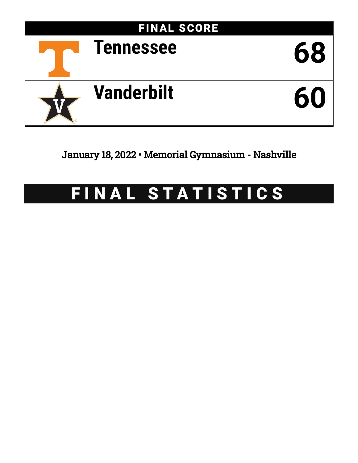

## January 18, 2022 • Memorial Gymnasium - Nashville

# FINAL STATISTICS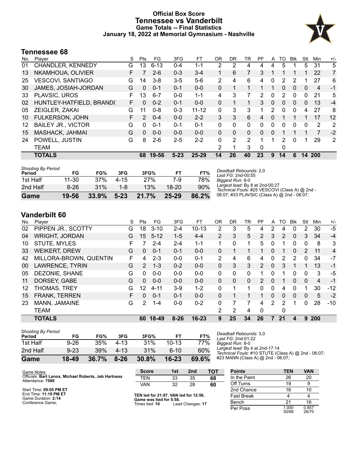#### **Official Box Score Tennessee vs Vanderbilt Game Totals -- Final Statistics January 18, 2022 at Memorial Gymnasium - Nashville**



#### **Tennessee 68**

| No. | Player                    | S  | Pts      | FG       | 3FG      | FT        | 0R | DR.      | TR       | PF       | A | TO       | <b>B</b> lk | Stl | Min    | $+/-$ |
|-----|---------------------------|----|----------|----------|----------|-----------|----|----------|----------|----------|---|----------|-------------|-----|--------|-------|
| 01  | CHANDLER, KENNEDY         | G  | 13       | $6 - 13$ | $0 - 4$  | 1-1       | 2  | 2        | 4        | 4        | 4 | 5        |             | 5   | 31     | 5     |
| 13  | NKAMHOUA, OLIVIER         | F. |          | $2 - 6$  | $0 - 3$  | $3 - 4$   | 1  | 6        | 7        | 3        | 1 | 1        |             | 1.  | 22     | 7     |
| 25  | VESCOVI, SANTIAGO         | G  | 14       | $3 - 8$  | $3 - 5$  | $5-6$     | 2  | 4        | 6        | 4        | 0 | 2        | 2           |     | 27     | 6     |
| 30  | JAMES, JOSIAH-JORDAN      | G  | 0        | $0 - 1$  | $0 - 1$  | $0 - 0$   | 0  | 1        | 1        | 1        |   | 0        | 0           | 0   | 4      | -1    |
| 33  | PLAVSIC, UROS             | F  | 13       | $6 - 7$  | $0 - 0$  | $1 - 1$   | 4  | 3        | 7        | 2        | 0 | 2        | 0           | 0   | 21     | 5     |
| 02  | HUNTLEY-HATFIELD, BRAND(  | F  | 0        | $0 - 2$  | $0 - 1$  | $0 - 0$   | 0  | 1        | 1.       | 3        | 0 | $\Omega$ | $\Omega$    | 0   | 13     | $-4$  |
| 05  | ZEIGLER, ZAKAI            | G  | 11       | $0 - 8$  | $0 - 3$  | $11 - 12$ | 0  | 3        | 3        | 1        | 2 | $\Omega$ | $\Omega$    | 4   | 27     | 8     |
| 10  | <b>FULKERSON, JOHN</b>    | F. | 2        | $0 - 4$  | $0 - 0$  | $2 - 2$   | 3  | 3        | 6        | 4        | 0 |          |             |     | 17     | 12    |
| 12  | <b>BAILEY JR., VICTOR</b> | G  | 0        | $0 - 1$  | $0 - 1$  | $0 - 1$   | 0  | $\Omega$ | $\Omega$ | 0        | 0 | $\Omega$ | 0           | 0   | 2      | 2     |
| 15  | MASHACK, JAHMAI           | G  | $\Omega$ | $0 - 0$  | $0 - 0$  | $0 - 0$   | 0  | $\Omega$ | $\Omega$ | $\Omega$ | 0 |          |             |     | 7      | $-2$  |
| 24  | POWELL, JUSTIN            | G  | 8        | $2-6$    | $2 - 5$  | $2 - 2$   | 0  | 2        | 2        | 1        | 1 | 2        | 0           | 1   | 29     | 2     |
|     | <b>TEAM</b>               |    |          |          |          |           | 2  | 1        | 3        | 0        |   | 0        |             |     |        |       |
|     | <b>TOTALS</b>             |    | 68       | 19-56    | $5 - 23$ | $25 - 29$ | 14 | 26       | 40       | 23       | 9 | 14       | 6           |     | 14 200 |       |
|     |                           |    |          |          |          |           |    |          |          |          |   |          |             |     |        |       |

| Game                                | 19-56  | 33.9% | $5 - 23$ | 21.7% | $25 - 29$ | 86.2% |
|-------------------------------------|--------|-------|----------|-------|-----------|-------|
| 2nd Half                            | $8-26$ | 31%   | 1-8      | 13%   | 18-20     | 90%   |
| 1st Half                            | 11-30  | 37%   | 4-15     | 27%   | 7-9       | 78%   |
| <b>Shooting By Period</b><br>Period | FG     | FG%   | 3FG      | 3FG%  | FТ        | FT%   |

*Deadball Rebounds:* 2,0 *Last FG:* 2nd-00:55 *Biggest Run:* 8-0 *Largest lead:* By 8 at 2nd-00:27 *Technical Fouls:* #25 VESCOVI (Class A) @ 2nd - 06:07; #33 PLAVSIC (Class A) @ 2nd - 06:07;

### **Vanderbilt 60**

| No. | Player                 | S | Pts           | FG.       | 3FG      | FТ        | 0R             | DR       | TR           | PF            | A              | TO | Blk          | Stl      | Min            | $+/-$ |
|-----|------------------------|---|---------------|-----------|----------|-----------|----------------|----------|--------------|---------------|----------------|----|--------------|----------|----------------|-------|
| 02  | PIPPEN JR., SCOTTY     | G | 18            | $3 - 10$  | 2-4      | $10 - 13$ | 2              | 3        | 5            | 4             |                | 4  | 0            | 2        | 30             | $-5$  |
| 04  | <b>WRIGHT, JORDAN</b>  | G | 15            | $5 - 12$  | $1 - 5$  | $4 - 4$   | $\overline{2}$ | 3        | 5            | 2             | 3              | 2  | $\mathbf{0}$ | 3        | 34             | $-4$  |
| 10  | <b>STUTE, MYLES</b>    | F | 7             | $2 - 4$   | $2 - 4$  | $1 - 1$   | 1.             | 0        |              | 5             | 0              |    | $\Omega$     | $\Omega$ | 8              | 3     |
| 33  | <b>WEIKERT, DREW</b>   | G | 0             | $0 - 1$   | $0 - 1$  | $0 - 0$   | 0              |          |              |               | 0              |    | $\mathbf{0}$ | 2        | 11             | 4     |
| 42  | MILLORA-BROWN, QUENTIN | F | 4             | $2 - 3$   | $0 - 0$  | $0 - 1$   | 2              | 4        | 6            | 4             | 0              | 2  | 2            | 0        | 34             | $-7$  |
| 00  | LAWRENCE, TYRIN        | G | $\mathcal{P}$ | $1 - 3$   | $0 - 2$  | $0 - 0$   | 0              | 3        | 3            | $\mathcal{P}$ | $\Omega$       | 3  |              |          | 13             | $-1$  |
| 05  | DEZONIE, SHANE         | G | 0             | $0 - 0$   | $0 - 0$  | $0 - 0$   | 0              | 0        | $\mathbf{0}$ |               | 0              |    | 0            | 0        | 3              | -5    |
| 11  | DORSEY, GABE           | G | $\Omega$      | $0 - 0$   | $0 - 0$  | $0 - 0$   | $\Omega$       | $\Omega$ | $\Omega$     | $\mathcal{P}$ | 0              | 1  | $\Omega$     | $\Omega$ | $\overline{4}$ | $-1$  |
| 12  | THOMAS, TREY           | G | 12            | $4 - 11$  | $3-9$    | $1 - 2$   | 0              |          |              | 0             | 0              | 4  | 0            |          | 30             | $-12$ |
| 15  | <b>FRANK, TERREN</b>   | F | $\Omega$      | $0 - 1$   | $0 - 1$  | $0 - 0$   | 0              |          |              |               | $\Omega$       | 0  | $\Omega$     | $\Omega$ | 5              | $-2$  |
| 23  | MANN, JAMAINE          | G | 2             | 1-4       | $0-0$    | $0 - 2$   | 0              | 7        |              | 4             | $\overline{2}$ | 2  |              | $\Omega$ | 28             | $-10$ |
|     | <b>TEAM</b>            |   |               |           |          |           | 2              | 2        | 4            | $\Omega$      |                | 0  |              |          |                |       |
|     | <b>TOTALS</b>          |   | 60            | $18 - 49$ | $8 - 26$ | $16 - 23$ | 9              | 25       | 34           | 26            |                | 21 | 4            | 9        | 200            |       |

| <b>Shooting By Period</b><br>Period | FG       | FG%   | 3FG      | 3FG%  | FТ        | FT%   |
|-------------------------------------|----------|-------|----------|-------|-----------|-------|
| 1st Half                            | $9 - 26$ | 35%   | 4-13     | 31%   | $10 - 13$ | 77%   |
| 2nd Half                            | $9 - 23$ | 39%   | 4-13     | 31%   | $6-10$    | 60%   |
| Game                                | 18-49    | 36.7% | $8 - 26$ | 30.8% | $16 - 23$ | 69.6% |

*Deadball Rebounds:* 3,0 *Last FG:* 2nd-01:22 *Biggest Run:* 8-0 *Largest lead:* By 4 at 2nd-17:14 *Technical Fouls:* #10 STUTE (Class A) @ 2nd - 06:07; #23 MANN (Class A) @ 2nd - 06:07;

| Game Notes:                                                              | <b>Score</b>                              | 1st | 2 <sub>nd</sub>  | TOT               | <b>Points</b> | TEN            | <b>VAN</b>     |
|--------------------------------------------------------------------------|-------------------------------------------|-----|------------------|-------------------|---------------|----------------|----------------|
| Officials: Bart Lenox, Michael Roberts, Jeb Hartness<br>Attendance: 7588 | <b>TEN</b>                                | 33  | 35               | 68                | In the Paint  | 26             | 20             |
|                                                                          | VAN                                       | 32  | 28               | 60                | Off Turns     | 19             |                |
| Start Time: 09:05 PM ET                                                  |                                           |     |                  |                   | 2nd Chance    | 16             | 10             |
| End Time: 11:19 PM ET<br>Game Duration: 2:14                             | TEN led for 21:07. VAN led for 12:56.     |     |                  | <b>Fast Break</b> |               |                |                |
| Conference Game:                                                         | Game was tied for 5:58.<br>Times tied: 10 |     | Lead Changes: 17 |                   | Bench         | 21             | 16             |
|                                                                          |                                           |     |                  |                   | Per Poss      | 1.000<br>30/68 | 0.857<br>26/70 |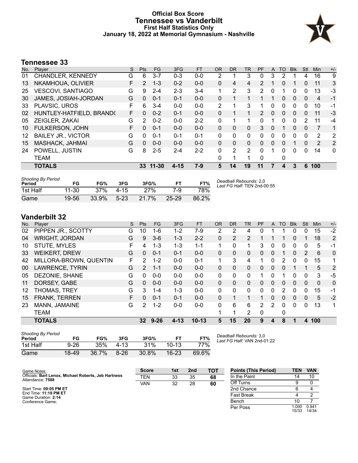#### **Official Box Score Tennessee vs Vanderbilt First Half Statistics Only January 18, 2022 at Memorial Gymnasium - Nashville**



### **Tennessee 33**

| No. | Player                      | S  | <b>Pts</b>    | FG      | 3FG      | <b>FT</b> | <b>OR</b>     | <b>DR</b> | <b>TR</b>      | <b>PF</b>      | A | TO       | <b>B</b> lk  | Stl          | Min | $+/-$          |
|-----|-----------------------------|----|---------------|---------|----------|-----------|---------------|-----------|----------------|----------------|---|----------|--------------|--------------|-----|----------------|
| 01  | CHANDLER, KENNEDY           | G  | 6             | $3 - 7$ | $0 - 3$  | $0-0$     | 2             |           | 3              | 0              | 3 | 2        |              | 4            | 16  | 9              |
| 13  | NKAMHOUA, OLIVIER           | F  | $\mathcal{P}$ | $1 - 3$ | $0 - 2$  | $0 - 0$   | 0             | 4         | 4              | $\overline{2}$ |   | 0        |              | 0            | 11  | 3              |
| 25  | <b>VESCOVI, SANTIAGO</b>    | G  | 9             | $2 - 4$ | $2 - 3$  | $3 - 4$   | 1             | 2         | 3              | 2              | 0 |          | 0            | 0            | 13  | -3             |
| 30  | <b>JAMES, JOSIAH-JORDAN</b> | G  | $\Omega$      | $0 - 1$ | $0 - 1$  | $0 - 0$   | 0             | 1         |                |                |   | 0        | $\Omega$     | $\Omega$     | 4   | $-1$           |
| 33  | PLAVSIC, UROS               | F  | 6             | $3-4$   | $0 - 0$  | $0 - 0$   | $\mathcal{P}$ | 1         | 3              | 1              | 0 | 0        | $\Omega$     | $\Omega$     | 10  | -1             |
| 02  | HUNTLEY-HATFIELD, BRAND(    | F. | $\mathbf{0}$  | $0 - 2$ | $0 - 1$  | $0 - 0$   | 0             |           |                | 2              | 0 | 0        | $\mathbf{0}$ | 0            | 11  | -3             |
| 05  | ZEIGLER, ZAKAI              | G  | 2             | $0 - 2$ | $0 - 0$  | $2 - 2$   | 0             | 1         |                | 0              | 1 | 0        | 0            | 2            | 11  | $-4$           |
| 10  | <b>FULKERSON, JOHN</b>      | F. | $\Omega$      | $0 - 1$ | $0 - 0$  | $0 - 0$   | 0             | $\Omega$  | $\Omega$       | 3              | 0 | 1        | $\Omega$     | $\Omega$     | 7   | 1              |
| 12  | <b>BAILEY JR., VICTOR</b>   | G  | 0             | $0 - 1$ | $0 - 1$  | $0 - 1$   | 0             | 0         | $\mathbf{0}$   | 0              | 0 | 0        | $\Omega$     | 0            | 2   | 2              |
| 15  | MASHACK, JAHMAI             | G  | $\Omega$      | $0 - 0$ | $0 - 0$  | $0 - 0$   | $\Omega$      | $\Omega$  | 0              | 0              | 0 | $\Omega$ |              | $\mathbf{0}$ | 2   | $\overline{2}$ |
| 24  | POWELL, JUSTIN              | G  | 8             | $2 - 5$ | $2 - 4$  | $2 - 2$   | 0             | 2         | $\overline{2}$ | 0              |   | 0        | $\Omega$     | $\Omega$     | 14  | 0              |
|     | TEAM                        |    |               |         |          |           | 0             | 1         |                | 0              |   | 0        |              |              |     |                |
|     | <b>TOTALS</b>               |    | 33            | 11-30   | $4 - 15$ | 7-9       | 5             | 14        | 19             | 11             |   | 4        | 3            | 6            | 100 |                |

| <b>Shooting By Period</b><br>Period | FG    | FG%   | 3FG      | 3FG%  | FТ        | FT%   | Deadball Rebounds: 2,0<br>Last FG Half: TEN 2nd-00:55 |
|-------------------------------------|-------|-------|----------|-------|-----------|-------|-------------------------------------------------------|
| 1st Half                            | 11-30 | 37%   | $4 - 15$ | 27%   | 7-9       | 78%   |                                                       |
| Game                                | 19-56 | 33.9% | $5-23$   | 21.7% | $25 - 29$ | 86.2% |                                                       |

### **Vanderbilt 32**

| No. | Player                 | S | Pts           | FG       | 3FG      | <b>FT</b> | <b>OR</b>    | <b>DR</b> | <b>TR</b>      | PF | A        | TO | <b>Blk</b> | Stl      | Min | $+/-$          |
|-----|------------------------|---|---------------|----------|----------|-----------|--------------|-----------|----------------|----|----------|----|------------|----------|-----|----------------|
| 02  | PIPPEN JR., SCOTTY     | G | 10            | 1-6      | $1 - 2$  | $7-9$     | 2            | 2         | 4              | 0  |          |    | 0          | 0        | 15  | $-2$           |
| 04  | <b>WRIGHT, JORDAN</b>  | G | 9             | $3-6$    | $1 - 3$  | $2 - 2$   | $\Omega$     | 2         | $\overline{2}$ |    |          |    | 0          |          | 18  | $\overline{2}$ |
| 10  | <b>STUTE, MYLES</b>    | F | 4             | $1 - 3$  | $1 - 3$  | $1 - 1$   | 1            | 0         | 1              | 3  | 0        | 0  | $\Omega$   | 0        | 5   | $-1$           |
| 33  | <b>WEIKERT, DREW</b>   | G | 0             | $0 - 1$  | $0 - 1$  | $0 - 0$   | 0            | 0         | 0              | 0  | 0        |    | 0          | 2        | 6   | $\mathbf 0$    |
| 42  | MILLORA-BROWN, QUENTIN | F | 2             | $1 - 2$  | $0 - 0$  | $0 - 1$   | 1            | 3         | 4              |    | 0        | 2  | 0          | 0        | 15  | 1              |
| 00  | LAWRENCE, TYRIN        | G | $\mathcal{P}$ | $1 - 1$  | $0 - 0$  | $0 - 0$   | 0            | 0         | $\Omega$       | 0  | $\Omega$ | 0  |            |          | 5   | 2              |
| 05  | DEZONIE, SHANE         | G | 0             | $0-0$    | $0 - 0$  | $0 - 0$   | 0            | 0         | 0              |    | $\Omega$ |    | 0          | 0        | 3   | -5             |
| 11  | DORSEY, GABE           | G | 0             | $0 - 0$  | $0 - 0$  | $0 - 0$   | $\Omega$     | 0         | $\Omega$       | 0  | $\Omega$ | 0  | $\Omega$   | $\Omega$ | 0   | $\mathbf{0}$   |
| 12  | THOMAS, TREY           | G | 3             | $1 - 4$  | $1 - 3$  | $0 - 0$   | $\mathbf{0}$ | 0         | $\mathbf{0}$   | 0  | 0        | 2  | 0          | 0        | 15  | $-1$           |
| 15  | <b>FRANK, TERREN</b>   | F | 0             | $0 - 1$  | $0 - 1$  | $0 - 0$   | $\Omega$     | 1         | 1              | 1  | $\Omega$ | 0  | 0          | 0        | 5   | $-2$           |
| 23  | <b>MANN, JAMAINE</b>   | G | 2             | $1 - 2$  | $0-0$    | $0 - 0$   | $\Omega$     | 6         | 6              | 2  | 2        | 0  | 0          | 0        | 13  | 1              |
|     | <b>TEAM</b>            |   |               |          |          |           | 4            | ◢         | 2              | 0  |          | 0  |            |          |     |                |
|     | <b>TOTALS</b>          |   | 32            | $9 - 26$ | $4 - 13$ | $10 - 13$ | 5            | 15        | 20             | 9  | 4        | 8  |            | 4        | 100 |                |
|     |                        |   |               |          |          |           |              |           |                |    |          |    |            |          |     |                |

| <b>Shooting By Period</b><br>Period | FG       | FG%   | 3FG      | 3FG%  | FТ        | FT%   | Lε |
|-------------------------------------|----------|-------|----------|-------|-----------|-------|----|
| 1st Half                            | $9 - 26$ | 35%   | 4-13     | 31%   | $10-13$   | 77%   |    |
| Game                                | 18-49    | 36.7% | $8 - 26$ | 30.8% | $16 - 23$ | 69.6% |    |

*Deadball Rebounds:* 3,0 *Last FG Half:* VAN 2nd-01:22

| Game Notes:                                                              | <b>Score</b> | 1st | 2 <sub>nd</sub> | <b>TOT</b> | <b>Points (This Period)</b> | <b>TEN</b>    | <b>VAN</b>     |
|--------------------------------------------------------------------------|--------------|-----|-----------------|------------|-----------------------------|---------------|----------------|
| Officials: Bart Lenox, Michael Roberts, Jeb Hartness<br>Attendance: 7588 | TEN          | 33  | 35              | 68         | In the Paint                |               | 10             |
|                                                                          | <b>VAN</b>   | 32  | 28              | 60         | Off Turns                   |               |                |
| Start Time: 09:05 PM ET                                                  |              |     |                 |            | 2nd Chance                  |               |                |
| End Time: 11:19 PM ET<br>Game Duration: 2:14                             |              |     |                 |            | <b>Fast Break</b>           |               |                |
| Conference Game:                                                         |              |     |                 |            | Bench                       | 10            |                |
|                                                                          |              |     |                 |            | Per Poss                    | .000<br>15/33 | 0.941<br>14/34 |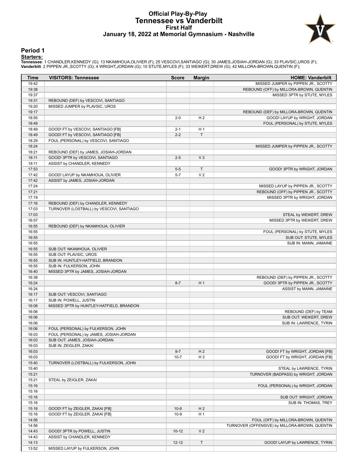#### **Official Play-By-Play Tennessee vs Vanderbilt First Half January 18, 2022 at Memorial Gymnasium - Nashville**



#### **Period 1**

<mark>Starters:</mark><br>Tennessee: 1 CHANDLER,KENNEDY (G); 13 NKAMHOUA,OLIVIER (F); 25 VESCOVI,SANTIAGO (G); 30 JAMES,JOSIAH-JORDAN (G); 33 PLAVSIC,UROS (F);<br>**Vanderbilt**: 2 PIPPEN JR.,SCOTTY (G); 4 WRIGHT,JORDAN (G); 10 STUTE,MYLES (

| Time           | <b>VISITORS: Tennessee</b>               | <b>Score</b> | <b>Margin</b>  | <b>HOME: Vanderbilt</b>                                     |
|----------------|------------------------------------------|--------------|----------------|-------------------------------------------------------------|
| 19:42          |                                          |              |                | MISSED JUMPER by PIPPEN JR., SCOTTY                         |
| 19:38          |                                          |              |                | REBOUND (OFF) by MILLORA-BROWN, QUENTIN                     |
| 19:37          |                                          |              |                | MISSED 3PTR by STUTE, MYLES                                 |
| 19:31          | REBOUND (DEF) by VESCOVI, SANTIAGO       |              |                |                                                             |
| 19:20          | MISSED JUMPER by PLAVSIC, UROS           |              |                |                                                             |
| 19:17          |                                          |              |                | REBOUND (DEF) by MILLORA-BROWN, QUENTIN                     |
| 18:55          |                                          | $2 - 0$      | H <sub>2</sub> | GOOD! LAYUP by WRIGHT, JORDAN                               |
| 18:49          |                                          |              |                | FOUL (PERSONAL) by STUTE, MYLES                             |
| 18:49          | GOOD! FT by VESCOVI, SANTIAGO [FB]       | $2 - 1$      | H <sub>1</sub> |                                                             |
| 18:49          | GOOD! FT by VESCOVI, SANTIAGO [FB]       | $2 - 2$      | $\mathsf{T}$   |                                                             |
| 18:29<br>18:24 | FOUL (PERSONAL) by VESCOVI, SANTIAGO     |              |                | MISSED JUMPER by PIPPEN JR., SCOTTY                         |
| 18:21          | REBOUND (DEF) by JAMES, JOSIAH-JORDAN    |              |                |                                                             |
| 18:11          | GOOD! 3PTR by VESCOVI, SANTIAGO          | $2 - 5$      | V <sub>3</sub> |                                                             |
| 18:11          | ASSIST by CHANDLER, KENNEDY              |              |                |                                                             |
| 17:53          |                                          | $5-5$        | $\mathsf{T}$   | GOOD! 3PTR by WRIGHT, JORDAN                                |
| 17:42          | GOOD! LAYUP by NKAMHOUA, OLIVIER         | $5 - 7$      | V <sub>2</sub> |                                                             |
| 17:42          | ASSIST by JAMES, JOSIAH-JORDAN           |              |                |                                                             |
| 17:24          |                                          |              |                | MISSED LAYUP by PIPPEN JR., SCOTTY                          |
| 17:21          |                                          |              |                | REBOUND (OFF) by PIPPEN JR., SCOTTY                         |
| 17:19          |                                          |              |                | MISSED 3PTR by WRIGHT, JORDAN                               |
| 17:16          | REBOUND (DEF) by CHANDLER, KENNEDY       |              |                |                                                             |
| 17:03          | TURNOVER (LOSTBALL) by VESCOVI, SANTIAGO |              |                |                                                             |
| 17:03          |                                          |              |                | STEAL by WEIKERT, DREW                                      |
| 16:57          |                                          |              |                | MISSED 3PTR by WEIKERT, DREW                                |
| 16:55          | REBOUND (DEF) by NKAMHOUA, OLIVIER       |              |                |                                                             |
| 16:55          |                                          |              |                | FOUL (PERSONAL) by STUTE, MYLES                             |
| 16:55          |                                          |              |                | SUB OUT: STUTE, MYLES                                       |
| 16:55          |                                          |              |                | SUB IN: MANN, JAMAINE                                       |
| 16:55          | SUB OUT: NKAMHOUA, OLIVIER               |              |                |                                                             |
| 16:55          | SUB OUT: PLAVSIC, UROS                   |              |                |                                                             |
| 16:55          | SUB IN: HUNTLEY-HATFIELD, BRANDON        |              |                |                                                             |
| 16:55          | SUB IN: FULKERSON, JOHN                  |              |                |                                                             |
| 16:40          | MISSED 3PTR by JAMES, JOSIAH-JORDAN      |              |                |                                                             |
| 16:38          |                                          |              |                | REBOUND (DEF) by PIPPEN JR., SCOTTY                         |
| 16:24<br>16:24 |                                          | $8 - 7$      | H <sub>1</sub> | GOOD! 3PTR by PIPPEN JR., SCOTTY<br>ASSIST by MANN, JAMAINE |
| 16:17          | SUB OUT: VESCOVI, SANTIAGO               |              |                |                                                             |
| 16:17          | SUB IN: POWELL, JUSTIN                   |              |                |                                                             |
| 16:08          | MISSED 3PTR by HUNTLEY-HATFIELD, BRANDON |              |                |                                                             |
| 16:06          |                                          |              |                | REBOUND (DEF) by TEAM                                       |
| 16:06          |                                          |              |                | SUB OUT: WEIKERT, DREW                                      |
| 16:06          |                                          |              |                | SUB IN: LAWRENCE, TYRIN                                     |
| 16:06          | FOUL (PERSONAL) by FULKERSON, JOHN       |              |                |                                                             |
| 16:03          | FOUL (PERSONAL) by JAMES, JOSIAH-JORDAN  |              |                |                                                             |
| 16:03          | SUB OUT: JAMES, JOSIAH-JORDAN            |              |                |                                                             |
| 16:03          | SUB IN: ZEIGLER, ZAKAI                   |              |                |                                                             |
| 16:03          |                                          | $9 - 7$      | H <sub>2</sub> | GOOD! FT by WRIGHT, JORDAN [FB]                             |
| 16:03          |                                          | $10 - 7$     | H <sub>3</sub> | GOOD! FT by WRIGHT, JORDAN [FB]                             |
| 15:40          | TURNOVER (LOSTBALL) by FULKERSON, JOHN   |              |                |                                                             |
| 15:40          |                                          |              |                | STEAL by LAWRENCE, TYRIN                                    |
| 15:21          |                                          |              |                | TURNOVER (BADPASS) by WRIGHT, JORDAN                        |
| 15:21          | STEAL by ZEIGLER, ZAKAI                  |              |                |                                                             |
| 15:16          |                                          |              |                | FOUL (PERSONAL) by WRIGHT, JORDAN                           |
| 15:16          |                                          |              |                |                                                             |
| 15:16          |                                          |              |                | SUB OUT: WRIGHT, JORDAN                                     |
| 15:16          |                                          |              |                | SUB IN: THOMAS, TREY                                        |
| 15:16          | GOOD! FT by ZEIGLER, ZAKAI [FB]          | $10 - 8$     | H <sub>2</sub> |                                                             |
| 15:16          | GOOD! FT by ZEIGLER, ZAKAI [FB]          | $10-9$       | H <sub>1</sub> |                                                             |
| 14:56          |                                          |              |                | FOUL (OFF) by MILLORA-BROWN, QUENTIN                        |
| 14:56<br>14:43 | GOOD! 3PTR by POWELL, JUSTIN             | $10 - 12$    | V <sub>2</sub> | TURNOVER (OFFENSIVE) by MILLORA-BROWN, QUENTIN              |
| 14:43          | ASSIST by CHANDLER, KENNEDY              |              |                |                                                             |
| 14:13          |                                          | $12 - 12$    | $\top$         | GOOD! LAYUP by LAWRENCE, TYRIN                              |
| 13:52          | MISSED LAYUP by FULKERSON, JOHN          |              |                |                                                             |
|                |                                          |              |                |                                                             |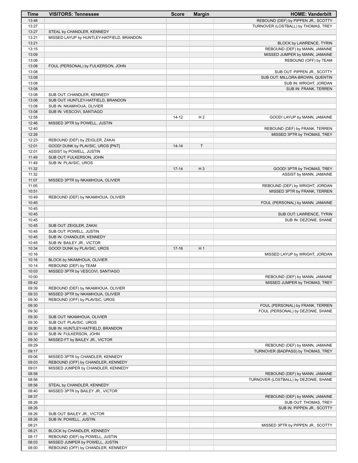| <b>Time</b>    | <b>VISITORS: Tennessee</b>                        | <b>Score</b> | <b>Margin</b>  | <b>HOME: Vanderbilt</b>               |
|----------------|---------------------------------------------------|--------------|----------------|---------------------------------------|
| 13:48          |                                                   |              |                | REBOUND (DEF) by PIPPEN JR., SCOTTY   |
| 13:27          |                                                   |              |                | TURNOVER (LOSTBALL) by THOMAS, TREY   |
| 13:27          | STEAL by CHANDLER, KENNEDY                        |              |                |                                       |
| 13:21          | MISSED LAYUP by HUNTLEY-HATFIELD, BRANDON         |              |                |                                       |
| 13:21          |                                                   |              |                | BLOCK by LAWRENCE, TYRIN              |
| 13:15          |                                                   |              |                | REBOUND (DEF) by MANN, JAMAINE        |
| 13:09          |                                                   |              |                | MISSED JUMPER by MANN, JAMAINE        |
| 13:08<br>13:08 | FOUL (PERSONAL) by FULKERSON, JOHN                |              |                | REBOUND (OFF) by TEAM                 |
| 13:08          |                                                   |              |                | SUB OUT: PIPPEN JR., SCOTTY           |
| 13:08          |                                                   |              |                | SUB OUT: MILLORA-BROWN, QUENTIN       |
| 13:08          |                                                   |              |                | SUB IN: WRIGHT, JORDAN                |
| 13:08          |                                                   |              |                | SUB IN: FRANK, TERREN                 |
| 13:08          | SUB OUT: CHANDLER, KENNEDY                        |              |                |                                       |
| 13:08          | SUB OUT: HUNTLEY-HATFIELD, BRANDON                |              |                |                                       |
| 13:08          | SUB IN: NKAMHOUA, OLIVIER                         |              |                |                                       |
| 13:08          | SUB IN: VESCOVI, SANTIAGO                         |              |                |                                       |
| 12:58          |                                                   | $14 - 12$    | H <sub>2</sub> | GOOD! LAYUP by MANN, JAMAINE          |
| 12:46          | MISSED 3PTR by POWELL, JUSTIN                     |              |                |                                       |
| 12:40          |                                                   |              |                | REBOUND (DEF) by FRANK, TERREN        |
| 12:26          |                                                   |              |                | MISSED 3PTR by THOMAS, TREY           |
| 12:23          | REBOUND (DEF) by ZEIGLER, ZAKAI                   |              |                |                                       |
| 12:01          | GOOD! DUNK by PLAVSIC, UROS [PNT]                 | $14 - 14$    | $\mathsf{T}$   |                                       |
| 12:01          | ASSIST by POWELL, JUSTIN                          |              |                |                                       |
| 11:49<br>11:49 | SUB OUT: FULKERSON, JOHN<br>SUB IN: PLAVSIC, UROS |              |                |                                       |
| 11:32          |                                                   | $17 - 14$    | $H_3$          | GOOD! 3PTR by THOMAS, TREY            |
| 11:32          |                                                   |              |                | ASSIST by MANN, JAMAINE               |
| 11:07          | MISSED 3PTR by NKAMHOUA, OLIVIER                  |              |                |                                       |
| 11:05          |                                                   |              |                | REBOUND (DEF) by WRIGHT, JORDAN       |
| 10:51          |                                                   |              |                | MISSED 3PTR by FRANK, TERREN          |
| 10:49          | REBOUND (DEF) by NKAMHOUA, OLIVIER                |              |                |                                       |
| 10:45          |                                                   |              |                | FOUL (PERSONAL) by MANN, JAMAINE      |
| 10:45          |                                                   |              |                |                                       |
| 10:45          |                                                   |              |                | SUB OUT: LAWRENCE, TYRIN              |
| 10:45          |                                                   |              |                | SUB IN: DEZONIE, SHANE                |
| 10:45          | SUB OUT: ZEIGLER, ZAKAI                           |              |                |                                       |
| 10:45          | SUB OUT: POWELL, JUSTIN                           |              |                |                                       |
| 10:45          | SUB IN: CHANDLER, KENNEDY                         |              |                |                                       |
| 10:45          | SUB IN: BAILEY JR., VICTOR                        |              |                |                                       |
| 10:34          | GOOD! DUNK by PLAVSIC, UROS                       | $17 - 16$    | H <sub>1</sub> |                                       |
| 10:16<br>10:16 | BLOCK by NKAMHOUA, OLIVIER                        |              |                | MISSED LAYUP by WRIGHT, JORDAN        |
| 10:14          | REBOUND (DEF) by TEAM                             |              |                |                                       |
| 10:03          | MISSED 3PTR by VESCOVI, SANTIAGO                  |              |                |                                       |
| 10:00          |                                                   |              |                | REBOUND (DEF) by MANN, JAMAINE        |
| 09:42          |                                                   |              |                | MISSED JUMPER by THOMAS, TREY         |
| 09:39          | REBOUND (DEF) by NKAMHOUA, OLIVIER                |              |                |                                       |
| 09:33          | MISSED 3PTR by NKAMHOUA, OLIVIER                  |              |                |                                       |
| 09:30          | REBOUND (OFF) by PLAVSIC, UROS                    |              |                |                                       |
| 09:30          |                                                   |              |                | FOUL (PERSONAL) by FRANK, TERREN      |
| 09:30          |                                                   |              |                | FOUL (PERSONAL) by DEZONIE, SHANE     |
| 09:30          | SUB OUT: NKAMHOUA, OLIVIER                        |              |                |                                       |
| 09:30          | SUB OUT: PLAVSIC, UROS                            |              |                |                                       |
| 09:30          | SUB IN: HUNTLEY-HATFIELD, BRANDON                 |              |                |                                       |
| 09:30          | SUB IN: FULKERSON, JOHN                           |              |                |                                       |
| 09:30          | MISSED FT by BAILEY JR., VICTOR                   |              |                |                                       |
| 09:29          |                                                   |              |                | REBOUND (DEF) by MANN, JAMAINE        |
| 09:17<br>09:06 | MISSED 3PTR by CHANDLER, KENNEDY                  |              |                | TURNOVER (BADPASS) by THOMAS, TREY    |
| 09:03          | REBOUND (OFF) by CHANDLER, KENNEDY                |              |                |                                       |
| 09:01          | MISSED JUMPER by CHANDLER, KENNEDY                |              |                |                                       |
| 08:58          |                                                   |              |                | REBOUND (DEF) by MANN, JAMAINE        |
| 08:56          |                                                   |              |                | TURNOVER (LOSTBALL) by DEZONIE, SHANE |
| 08:56          | STEAL by CHANDLER, KENNEDY                        |              |                |                                       |
| 08:40          | MISSED 3PTR by BAILEY JR., VICTOR                 |              |                |                                       |
| 08:37          |                                                   |              |                | REBOUND (DEF) by MANN, JAMAINE        |
| 08:26          |                                                   |              |                | SUB OUT: THOMAS, TREY                 |
| 08:26          |                                                   |              |                | SUB IN: PIPPEN JR., SCOTTY            |
| 08:26          | SUB OUT: BAILEY JR., VICTOR                       |              |                |                                       |
| 08:26          | SUB IN: POWELL, JUSTIN                            |              |                |                                       |
| 08:21          |                                                   |              |                | MISSED 3PTR by PIPPEN JR., SCOTTY     |
| 08:21          | BLOCK by CHANDLER, KENNEDY                        |              |                |                                       |
| 08:17          | REBOUND (DEF) by POWELL, JUSTIN                   |              |                |                                       |
| 08:03          | MISSED JUMPER by POWELL, JUSTIN                   |              |                |                                       |
| 08:00          | REBOUND (OFF) by CHANDLER, KENNEDY                |              |                |                                       |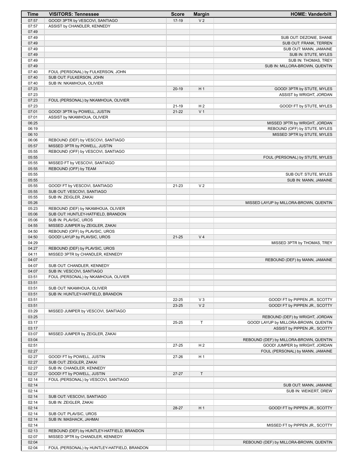| Time           | <b>VISITORS: Tennessee</b>                                     | <b>Score</b> | <b>Margin</b>  | <b>HOME: Vanderbilt</b>                 |
|----------------|----------------------------------------------------------------|--------------|----------------|-----------------------------------------|
| 07:57          | GOOD! 3PTR by VESCOVI, SANTIAGO                                | $17-19$      | V <sub>2</sub> |                                         |
| 07:57          | ASSIST by CHANDLER, KENNEDY                                    |              |                |                                         |
| 07:49          |                                                                |              |                |                                         |
| 07:49          |                                                                |              |                | SUB OUT: DEZONIE, SHANE                 |
| 07:49          |                                                                |              |                | SUB OUT: FRANK, TERREN                  |
| 07:49          |                                                                |              |                | SUB OUT: MANN, JAMAINE                  |
| 07:49          |                                                                |              |                | SUB IN: STUTE, MYLES                    |
| 07:49          |                                                                |              |                | SUB IN: THOMAS, TREY                    |
| 07:49          |                                                                |              |                | SUB IN: MILLORA-BROWN, QUENTIN          |
| 07:40          | FOUL (PERSONAL) by FULKERSON, JOHN                             |              |                |                                         |
| 07:40          | SUB OUT: FULKERSON, JOHN                                       |              |                |                                         |
| 07:40          | SUB IN: NKAMHOUA, OLIVIER                                      |              |                |                                         |
| 07:23          |                                                                | $20-19$      | H <sub>1</sub> | GOOD! 3PTR by STUTE, MYLES              |
| 07:23          |                                                                |              |                | ASSIST by WRIGHT, JORDAN                |
| 07:23<br>07:23 | FOUL (PERSONAL) by NKAMHOUA, OLIVIER                           | $21 - 19$    | H <sub>2</sub> | GOOD! FT by STUTE, MYLES                |
| 07:01          | GOOD! 3PTR by POWELL, JUSTIN                                   | $21 - 22$    | V <sub>1</sub> |                                         |
| 07:01          | ASSIST by NKAMHOUA, OLIVIER                                    |              |                |                                         |
| 06:25          |                                                                |              |                | MISSED 3PTR by WRIGHT, JORDAN           |
| 06:19          |                                                                |              |                | REBOUND (OFF) by STUTE, MYLES           |
| 06:10          |                                                                |              |                | MISSED 3PTR by STUTE, MYLES             |
| 06:06          | REBOUND (DEF) by VESCOVI, SANTIAGO                             |              |                |                                         |
| 05:57          | MISSED 3PTR by POWELL, JUSTIN                                  |              |                |                                         |
| 05:55          | REBOUND (OFF) by VESCOVI, SANTIAGO                             |              |                |                                         |
| 05:55          |                                                                |              |                | FOUL (PERSONAL) by STUTE, MYLES         |
| 05:55          | MISSED FT by VESCOVI, SANTIAGO                                 |              |                |                                         |
| 05:55          | REBOUND (OFF) by TEAM                                          |              |                |                                         |
| 05:55          |                                                                |              |                | SUB OUT: STUTE, MYLES                   |
| 05:55          |                                                                |              |                | SUB IN: MANN, JAMAINE                   |
| 05:55          | GOOD! FT by VESCOVI, SANTIAGO                                  | $21 - 23$    | V <sub>2</sub> |                                         |
| 05:55          | SUB OUT: VESCOVI, SANTIAGO                                     |              |                |                                         |
| 05:55          | SUB IN: ZEIGLER, ZAKAI                                         |              |                |                                         |
| 05:26          |                                                                |              |                | MISSED LAYUP by MILLORA-BROWN, QUENTIN  |
| 05:23          | REBOUND (DEF) by NKAMHOUA, OLIVIER                             |              |                |                                         |
| 05:06          | SUB OUT: HUNTLEY-HATFIELD, BRANDON                             |              |                |                                         |
| 05:06          | SUB IN: PLAVSIC, UROS                                          |              |                |                                         |
| 04:55          | MISSED JUMPER by ZEIGLER, ZAKAI                                |              |                |                                         |
| 04:50<br>04:50 | REBOUND (OFF) by PLAVSIC, UROS<br>GOOD! LAYUP by PLAVSIC, UROS | $21 - 25$    | V <sub>4</sub> |                                         |
| 04:29          |                                                                |              |                | MISSED 3PTR by THOMAS, TREY             |
| 04:27          | REBOUND (DEF) by PLAVSIC, UROS                                 |              |                |                                         |
| 04:11          | MISSED 3PTR by CHANDLER, KENNEDY                               |              |                |                                         |
| 04:07          |                                                                |              |                | REBOUND (DEF) by MANN, JAMAINE          |
| 04:07          | SUB OUT: CHANDLER, KENNEDY                                     |              |                |                                         |
| 04:07          | SUB IN: VESCOVI, SANTIAGO                                      |              |                |                                         |
| 03:51          | FOUL (PERSONAL) by NKAMHOUA, OLIVIER                           |              |                |                                         |
| 03:51          |                                                                |              |                |                                         |
| 03:51          | SUB OUT: NKAMHOUA, OLIVIER                                     |              |                |                                         |
| 03:51          | SUB IN: HUNTLEY-HATFIELD, BRANDON                              |              |                |                                         |
| 03:51          |                                                                | 22-25        | $V_3$          | GOOD! FT by PIPPEN JR., SCOTTY          |
| 03:51          |                                                                | 23-25        | V <sub>2</sub> | GOOD! FT by PIPPEN JR., SCOTTY          |
| 03:29          | MISSED JUMPER by VESCOVI, SANTIAGO                             |              |                |                                         |
| 03:25          |                                                                |              |                | REBOUND (DEF) by WRIGHT, JORDAN         |
| 03:17          |                                                                | 25-25        | T              | GOOD! LAYUP by MILLORA-BROWN, QUENTIN   |
| 03:17          |                                                                |              |                | ASSIST by PIPPEN JR., SCOTTY            |
| 03:07          | MISSED JUMPER by ZEIGLER, ZAKAI                                |              |                |                                         |
| 03:04          |                                                                |              |                | REBOUND (DEF) by MILLORA-BROWN, QUENTIN |
| 02:51<br>02:27 |                                                                | 27-25        | H <sub>2</sub> | GOOD! JUMPER by WRIGHT, JORDAN          |
| 02:27          | GOOD! FT by POWELL, JUSTIN                                     | 27-26        | H <sub>1</sub> | FOUL (PERSONAL) by MANN, JAMAINE        |
| 02:27          | SUB OUT: ZEIGLER, ZAKAI                                        |              |                |                                         |
| 02:27          | SUB IN: CHANDLER, KENNEDY                                      |              |                |                                         |
| 02:27          | GOOD! FT by POWELL, JUSTIN                                     | $27 - 27$    | T              |                                         |
| 02:14          | FOUL (PERSONAL) by VESCOVI, SANTIAGO                           |              |                |                                         |
| 02:14          |                                                                |              |                | SUB OUT: MANN, JAMAINE                  |
| 02:14          |                                                                |              |                | SUB IN: WEIKERT, DREW                   |
| 02:14          | SUB OUT: VESCOVI, SANTIAGO                                     |              |                |                                         |
| 02:14          | SUB IN: ZEIGLER, ZAKAI                                         |              |                |                                         |
| 02:14          |                                                                | 28-27        | H1             | GOOD! FT by PIPPEN JR., SCOTTY          |
| 02:14          | SUB OUT: PLAVSIC, UROS                                         |              |                |                                         |
| 02:14          | SUB IN: MASHACK, JAHMAI                                        |              |                |                                         |
| 02:14          |                                                                |              |                | MISSED FT by PIPPEN JR., SCOTTY         |
| 02:13          | REBOUND (DEF) by HUNTLEY-HATFIELD, BRANDON                     |              |                |                                         |
| 02:07          | MISSED 3PTR by CHANDLER, KENNEDY                               |              |                |                                         |
| 02:04          |                                                                |              |                | REBOUND (DEF) by MILLORA-BROWN, QUENTIN |
| 02:04          | FOUL (PERSONAL) by HUNTLEY-HATFIELD, BRANDON                   |              |                |                                         |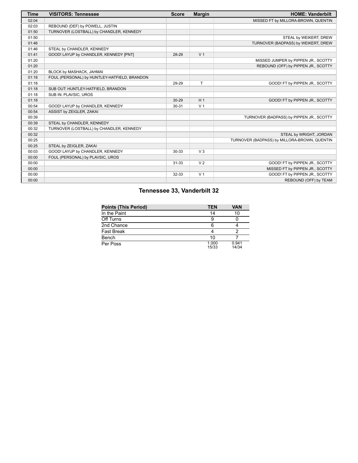| Time  | <b>VISITORS: Tennessee</b>                   | <b>Score</b> | <b>Margin</b>  | <b>HOME: Vanderbilt</b>                      |
|-------|----------------------------------------------|--------------|----------------|----------------------------------------------|
| 02:04 |                                              |              |                | MISSED FT by MILLORA-BROWN, QUENTIN          |
| 02:03 | REBOUND (DEF) by POWELL, JUSTIN              |              |                |                                              |
| 01:50 | TURNOVER (LOSTBALL) by CHANDLER, KENNEDY     |              |                |                                              |
| 01:50 |                                              |              |                | STEAL by WEIKERT, DREW                       |
| 01:46 |                                              |              |                | TURNOVER (BADPASS) by WEIKERT, DREW          |
| 01:46 | STEAL by CHANDLER, KENNEDY                   |              |                |                                              |
| 01:41 | GOOD! LAYUP by CHANDLER, KENNEDY [PNT]       | 28-29        | V <sub>1</sub> |                                              |
| 01:20 |                                              |              |                | MISSED JUMPER by PIPPEN JR., SCOTTY          |
| 01:20 |                                              |              |                | REBOUND (OFF) by PIPPEN JR., SCOTTY          |
| 01:20 | BLOCK by MASHACK, JAHMAI                     |              |                |                                              |
| 01:18 | FOUL (PERSONAL) by HUNTLEY-HATFIELD, BRANDON |              |                |                                              |
| 01:18 |                                              | 29-29        | T              | GOOD! FT by PIPPEN JR., SCOTTY               |
| 01:18 | SUB OUT: HUNTLEY-HATFIELD, BRANDON           |              |                |                                              |
| 01:18 | SUB IN: PLAVSIC, UROS                        |              |                |                                              |
| 01:18 |                                              | $30 - 29$    | H <sub>1</sub> | GOOD! FT by PIPPEN JR., SCOTTY               |
| 00:54 | GOOD! LAYUP by CHANDLER, KENNEDY             | $30 - 31$    | V <sub>1</sub> |                                              |
| 00:54 | ASSIST by ZEIGLER, ZAKAI                     |              |                |                                              |
| 00:39 |                                              |              |                | TURNOVER (BADPASS) by PIPPEN JR., SCOTTY     |
| 00:39 | STEAL by CHANDLER, KENNEDY                   |              |                |                                              |
| 00:32 | TURNOVER (LOSTBALL) by CHANDLER, KENNEDY     |              |                |                                              |
| 00:32 |                                              |              |                | STEAL by WRIGHT, JORDAN                      |
| 00:25 |                                              |              |                | TURNOVER (BADPASS) by MILLORA-BROWN, QUENTIN |
| 00:25 | STEAL by ZEIGLER, ZAKAI                      |              |                |                                              |
| 00:03 | GOOD! LAYUP by CHANDLER, KENNEDY             | 30-33        | $V_3$          |                                              |
| 00:00 | FOUL (PERSONAL) by PLAVSIC, UROS             |              |                |                                              |
| 00:00 |                                              | $31 - 33$    | V <sub>2</sub> | GOOD! FT by PIPPEN JR., SCOTTY               |
| 00:00 |                                              |              |                | MISSED FT by PIPPEN JR., SCOTTY              |
| 00:00 |                                              | 32-33        | V <sub>1</sub> | GOOD! FT by PIPPEN JR., SCOTTY               |
| 00:00 |                                              |              |                | REBOUND (OFF) by TEAM                        |

### **Tennessee 33, Vanderbilt 32**

| <b>Points (This Period)</b> | <b>TEN</b>     | <b>VAN</b>     |
|-----------------------------|----------------|----------------|
| In the Paint                | 14             | 10             |
| Off Turns                   |                |                |
| 2nd Chance                  | հ              |                |
| Fast Break                  |                |                |
| Bench                       | 10             |                |
| Per Poss                    | 1.000<br>15/33 | 0.941<br>14/34 |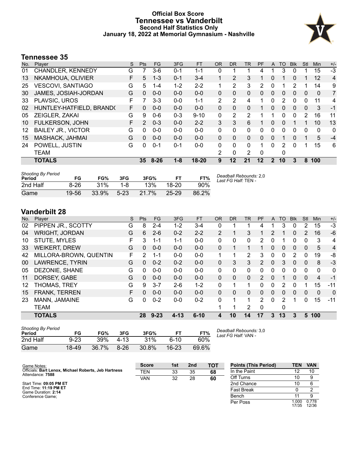#### **Official Box Score Tennessee vs Vanderbilt Second Half Statistics Only January 18, 2022 at Memorial Gymnasium - Nashville**



#### **Tennessee 35**

| No. | Player                      | S  | <b>Pts</b>    | <b>FG</b> | 3FG     | <b>FT</b> | <b>OR</b>      | <b>DR</b>    | TR.          | PF           | A             | TO       | <b>B</b> lk | Stl      | <b>Min</b>   | $+/-$ |
|-----|-----------------------------|----|---------------|-----------|---------|-----------|----------------|--------------|--------------|--------------|---------------|----------|-------------|----------|--------------|-------|
| 01  | CHANDLER, KENNEDY           | G  |               | 3-6       | $0 - 1$ | 1-1       | 0              |              |              | 4            |               | 3        | 0           |          | 15           | $-3$  |
| 13  | NKAMHOUA, OLIVIER           | F  | 5             | $1 - 3$   | $0 - 1$ | $3 - 4$   | 1              | 2            | 3            | 1            | 0             |          | $\Omega$    | 1.       | 12           | 4     |
| 25  | <b>VESCOVI, SANTIAGO</b>    | G  | 5             | $1 - 4$   | $1 - 2$ | $2 - 2$   |                | 2            | 3            | 2            | 0             |          |             |          | 14           | 9     |
| 30  | <b>JAMES, JOSIAH-JORDAN</b> | G  | $\Omega$      | $0 - 0$   | $0 - 0$ | $0 - 0$   | 0              | $\Omega$     | $\mathbf{0}$ | $\Omega$     | 0             | $\Omega$ | 0           | $\Omega$ | $\mathbf{0}$ | 7     |
| 33  | PLAVSIC, UROS               | F  | 7             | 3-3       | $0 - 0$ | $1 - 1$   | $\overline{2}$ | 2            | 4            | 1            | 0             | 2        | $\Omega$    | 0        | 11           | 4     |
| 02  | HUNTLEY-HATFIELD, BRAND(    | F  | 0             | $0 - 0$   | $0 - 0$ | $0 - 0$   | 0              | 0            | $\Omega$     |              | 0             | 0        | 0           | 0        | 3            | $-1$  |
| 05  | ZEIGLER, ZAKAI              | G  | 9             | $0 - 6$   | $0 - 3$ | $9 - 10$  | 0              | 2            | 2            |              |               | 0        | 0           | 2        | 16           | 11    |
| 10  | <b>FULKERSON, JOHN</b>      | F. | $\mathcal{P}$ | $0 - 3$   | $0 - 0$ | $2 - 2$   | 3              | 3            | 6            |              | 0             | $\Omega$ |             | 1        | 10           | 13    |
| 12  | <b>BAILEY JR., VICTOR</b>   | G  | 0             | $0 - 0$   | $0 - 0$ | $0 - 0$   | 0              | $\Omega$     | 0            | 0            | 0             | 0        | 0           | 0        | 0            | 0     |
| 15  | MASHACK, JAHMAI             | G  | $\Omega$      | $0 - 0$   | $0 - 0$ | $0 - 0$   | 0              | $\Omega$     | $\Omega$     | 0            | 0             | 1        | 0           | 1        | 5            | $-4$  |
| 24  | POWELL, JUSTIN              | G  | $\Omega$      | $0 - 1$   | $0 - 1$ | $0 - 0$   | 0              | $\Omega$     | $\Omega$     |              | 0             | 2        | 0           | 1        | 15           | 6     |
|     | <b>TEAM</b>                 |    |               |           |         |           | 2              | $\mathbf{0}$ | 2            | $\mathbf{0}$ |               | 0        |             |          |              |       |
|     | <b>TOTALS</b>               |    | 35            | $8 - 26$  | $1 - 8$ | $18 - 20$ | 9              | 12           | 21           | 12           | $\mathcal{P}$ | 10       | 3           | 8        | 100          |       |

| <b>Shooting By Period</b><br>Period | FG       | FG%   | 3FG    | 3FG%     | FТ        | FT%   | Deadball Rebounds: 2,0<br>Last FG Half: TEN - |
|-------------------------------------|----------|-------|--------|----------|-----------|-------|-----------------------------------------------|
| 2nd Half                            | $8 - 26$ | 31%   | 1-8    | 13%      | $18 - 20$ | 90%   |                                               |
| Game                                | 19-56    | 33.9% | $5-23$ | $21.7\%$ | $25 - 29$ | 86.2% |                                               |

### **Vanderbilt 28**

| No. | Player                 | S  | <b>Pts</b>    | FG       | 3FG      | <b>FT</b> | <b>OR</b> | <b>DR</b> | <b>TR</b>    | PF            | A        | TO | <b>Blk</b>    | Stl      | Min            | $+/-$          |
|-----|------------------------|----|---------------|----------|----------|-----------|-----------|-----------|--------------|---------------|----------|----|---------------|----------|----------------|----------------|
| 02  | PIPPEN JR., SCOTTY     | G  | 8             | 2-4      | $1 - 2$  | $3 - 4$   | 0         |           |              | 4             |          | 3  | 0             | 2        | 15             | $-3$           |
| 04  | <b>WRIGHT, JORDAN</b>  | G  | 6             | $2 - 6$  | $0 - 2$  | $2 - 2$   | 2         |           | 3            |               | 2        | 1  | $\Omega$      | 2        | 16             | $-6$           |
| 10  | <b>STUTE, MYLES</b>    | F  | 3             | $1 - 1$  | $1 - 1$  | $0-0$     | 0         | 0         | $\mathbf{0}$ | 2             | 0        |    | 0             | 0        | 3              | 4              |
| 33  | <b>WEIKERT, DREW</b>   | G  | $\Omega$      | $0 - 0$  | $0 - 0$  | $0 - 0$   | $\Omega$  |           |              |               | $\Omega$ | 0  | $\Omega$      | $\Omega$ | 5              | $\overline{4}$ |
| 42  | MILLORA-BROWN, QUENTIN | F. | $\mathcal{P}$ | $1 - 1$  | $0 - 0$  | $0 - 0$   | 1.        |           | 2            | 3             | 0        | 0  | $\mathcal{P}$ | 0        | 19             | -8             |
| 00  | LAWRENCE, TYRIN        | G  | $\Omega$      | $0 - 2$  | $0 - 2$  | $0 - 0$   | $\Omega$  | 3         | 3            | 2             | $\Omega$ | 3  | $\mathbf{0}$  | $\Omega$ | 8              | $-3$           |
| 05  | DEZONIE, SHANE         | G  | 0             | $0 - 0$  | $0 - 0$  | $0 - 0$   | 0         | 0         | $\mathbf{0}$ | 0             | 0        | 0  | 0             | 0        | 0              | 0              |
| 11  | DORSEY, GABE           | G  | $\Omega$      | $0 - 0$  | $0 - 0$  | $0 - 0$   | 0         | $\Omega$  | $\Omega$     | $\mathcal{P}$ | $\Omega$ |    | $\Omega$      | $\Omega$ | $\overline{4}$ | $-1$           |
| 12  | THOMAS, TREY           | G  | 9             | $3 - 7$  | $2-6$    | $1 - 2$   | 0         |           |              | 0             | 0        | 2  | $\Omega$      |          | 15             | $-11$          |
| 15  | <b>FRANK, TERREN</b>   | F  | 0             | $0 - 0$  | $0 - 0$  | $0 - 0$   | $\Omega$  | 0         | 0            | $\Omega$      | 0        | 0  | $\Omega$      | $\Omega$ | $\Omega$       | $\overline{0}$ |
| 23  | MANN, JAMAINE          | G  | $\Omega$      | $0 - 2$  | $0 - 0$  | $0 - 2$   | 0         |           |              | 2             | $\Omega$ | 2  |               | 0        | 15             | $-11$          |
|     | <b>TEAM</b>            |    |               |          |          |           | 1         |           | 2            | $\Omega$      |          | 0  |               |          |                |                |
|     | <b>TOTALS</b>          |    | 28            | $9 - 23$ | $4 - 13$ | $6 - 10$  | 4         | 10        | 14           | 17            | 3        | 13 | 3             | 5        | 100            |                |

| <b>Shooting By Period</b><br>Period | FG       | FG%   | 3FG      | 3FG%  | FТ        | FT%   | Dea<br>Last |
|-------------------------------------|----------|-------|----------|-------|-----------|-------|-------------|
| 2nd Half                            | $9 - 23$ | 39%   | $4 - 13$ | 31%   | ჩ-10      | 60%   |             |
| Game                                | 18-49    | 36.7% | $8-26$   | 30.8% | $16 - 23$ | 69.6% |             |

*Deadball Rebounds:* 3,0 *Last FG Half:* VAN -

| Game Notes:                                                              | <b>Score</b> | 1st | 2 <sub>nd</sub> | TOT | <b>Points (This Period)</b> | <b>TEN</b>     | <b>VAN</b>     |
|--------------------------------------------------------------------------|--------------|-----|-----------------|-----|-----------------------------|----------------|----------------|
| Officials: Bart Lenox, Michael Roberts, Jeb Hartness<br>Attendance: 7588 | <b>TEN</b>   | 33  | 35              | 68  | In the Paint                |                | 10             |
|                                                                          | <b>VAN</b>   | 32  | 28              | 60  | Off Turns                   |                |                |
| Start Time: 09:05 PM ET                                                  |              |     |                 |     | 2nd Chance                  | 10             |                |
| End Time: 11:19 PM ET<br>Game Duration: 2:14                             |              |     |                 |     | <b>Fast Break</b>           |                |                |
| Conference Game:                                                         |              |     |                 |     | Bench                       |                |                |
|                                                                          |              |     |                 |     | Per Poss                    | 1.000<br>17/35 | 0.778<br>12/36 |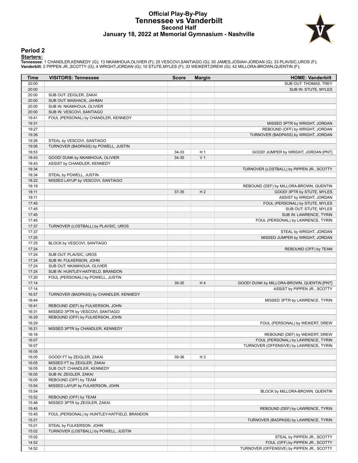#### **Official Play-By-Play Tennessee vs Vanderbilt Second Half January 18, 2022 at Memorial Gymnasium - Nashville**



#### **Period 2**

<mark>Starters:</mark><br>Tennessee: 1 CHANDLER,KENNEDY (G); 13 NKAMHOUA,OLIVIER (F); 25 VESCOVI,SANTIAGO (G); 30 JAMES,JOSIAH-JORDAN (G); 33 PLAVSIC,UROS (F);<br>**Vanderbilt**: 2 PIPPEN JR.,SCOTTY (G); 4 WRIGHT,JORDAN (G); 10 STUTE,MYLES (

| Time  | <b>VISITORS: Tennessee</b>                   | <b>Score</b> | <b>Margin</b>  | <b>HOME: Vanderbilt</b>                    |
|-------|----------------------------------------------|--------------|----------------|--------------------------------------------|
| 20:00 |                                              |              |                | SUB OUT: THOMAS, TREY                      |
| 20:00 |                                              |              |                | SUB IN: STUTE, MYLES                       |
| 20:00 | SUB OUT: ZEIGLER, ZAKAI                      |              |                |                                            |
| 20:00 | SUB OUT: MASHACK, JAHMAI                     |              |                |                                            |
| 20:00 | SUB IN: NKAMHOUA, OLIVIER                    |              |                |                                            |
| 20:00 | SUB IN: VESCOVI, SANTIAGO                    |              |                |                                            |
| 19:41 | FOUL (PERSONAL) by CHANDLER, KENNEDY         |              |                |                                            |
| 19:31 |                                              |              |                | MISSED 3PTR by WRIGHT, JORDAN              |
| 19:27 |                                              |              |                | REBOUND (OFF) by WRIGHT, JORDAN            |
| 19:26 |                                              |              |                | TURNOVER (BADPASS) by WRIGHT, JORDAN       |
| 19:26 | STEAL by VESCOVI, SANTIAGO                   |              |                |                                            |
| 19:06 | TURNOVER (BADPASS) by POWELL, JUSTIN         |              |                |                                            |
| 18:53 |                                              | 34-33        | H <sub>1</sub> | GOOD! JUMPER by WRIGHT, JORDAN [PNT]       |
| 18:43 | GOOD! DUNK by NKAMHOUA, OLIVIER              | 34-35        | V <sub>1</sub> |                                            |
| 18:43 | ASSIST by CHANDLER, KENNEDY                  |              |                |                                            |
| 18:34 |                                              |              |                | TURNOVER (LOSTBALL) by PIPPEN JR., SCOTTY  |
| 18:34 | STEAL by POWELL, JUSTIN                      |              |                |                                            |
| 18:22 | MISSED LAYUP by VESCOVI, SANTIAGO            |              |                |                                            |
| 18:19 |                                              |              |                | REBOUND (DEF) by MILLORA-BROWN, QUENTIN    |
| 18:11 |                                              | 37-35        | H <sub>2</sub> | GOOD! 3PTR by STUTE, MYLES                 |
| 18:11 |                                              |              |                | ASSIST by WRIGHT, JORDAN                   |
| 17:45 |                                              |              |                | FOUL (PERSONAL) by STUTE, MYLES            |
| 17:45 |                                              |              |                | SUB OUT: STUTE, MYLES                      |
| 17:45 |                                              |              |                | SUB IN: LAWRENCE, TYRIN                    |
| 17:45 |                                              |              |                | FOUL (PERSONAL) by LAWRENCE, TYRIN         |
| 17:37 | TURNOVER (LOSTBALL) by PLAVSIC, UROS         |              |                |                                            |
| 17:37 |                                              |              |                | STEAL by WRIGHT, JORDAN                    |
| 17:25 |                                              |              |                | MISSED JUMPER by WRIGHT, JORDAN            |
| 17:25 | BLOCK by VESCOVI, SANTIAGO                   |              |                |                                            |
| 17:24 |                                              |              |                | REBOUND (OFF) by TEAM                      |
| 17:24 | SUB OUT: PLAVSIC, UROS                       |              |                |                                            |
| 17:24 | SUB IN: FULKERSON, JOHN                      |              |                |                                            |
| 17:24 | SUB OUT: NKAMHOUA, OLIVIER                   |              |                |                                            |
| 17:24 | SUB IN: HUNTLEY-HATFIELD, BRANDON            |              |                |                                            |
| 17:20 | FOUL (PERSONAL) by POWELL, JUSTIN            |              |                |                                            |
| 17:14 |                                              | 39-35        | H4             | GOOD! DUNK by MILLORA-BROWN, QUENTIN [PNT] |
| 17:14 |                                              |              |                | ASSIST by PIPPEN JR., SCOTTY               |
| 16:57 | TURNOVER (BADPASS) by CHANDLER, KENNEDY      |              |                |                                            |
| 16:44 |                                              |              |                | MISSED 3PTR by LAWRENCE, TYRIN             |
| 16:41 | REBOUND (DEF) by FULKERSON, JOHN             |              |                |                                            |
| 16:31 | MISSED 3PTR by VESCOVI, SANTIAGO             |              |                |                                            |
| 16:29 | REBOUND (OFF) by FULKERSON, JOHN             |              |                |                                            |
| 16:29 |                                              |              |                | FOUL (PERSONAL) by WEIKERT, DREW           |
| 16:21 | MISSED 3PTR by CHANDLER, KENNEDY             |              |                |                                            |
| 16:18 |                                              |              |                | REBOUND (DEF) by WEIKERT, DREW             |
| 16:07 |                                              |              |                | FOUL (PERSONAL) by LAWRENCE, TYRIN         |
| 16:07 |                                              |              |                | TURNOVER (OFFENSIVE) by LAWRENCE, TYRIN    |
| 16:05 |                                              |              |                |                                            |
| 16:05 | GOOD! FT by ZEIGLER, ZAKAI                   | 39-36        | H <sub>3</sub> |                                            |
| 16:05 | MISSED FT by ZEIGLER, ZAKAI                  |              |                |                                            |
| 16:05 | SUB OUT: CHANDLER, KENNEDY                   |              |                |                                            |
| 16:05 | SUB IN: ZEIGLER, ZAKAI                       |              |                |                                            |
| 16:05 | REBOUND (OFF) by TEAM                        |              |                |                                            |
| 15:54 | MISSED LAYUP by FULKERSON, JOHN              |              |                |                                            |
| 15:54 |                                              |              |                | BLOCK by MILLORA-BROWN, QUENTIN            |
| 15:52 | REBOUND (OFF) by TEAM                        |              |                |                                            |
| 15:46 | MISSED 3PTR by ZEIGLER, ZAKAI                |              |                |                                            |
| 15:45 |                                              |              |                | REBOUND (DEF) by LAWRENCE, TYRIN           |
| 15:45 | FOUL (PERSONAL) by HUNTLEY-HATFIELD, BRANDON |              |                |                                            |
| 15:21 |                                              |              |                | TURNOVER (BADPASS) by LAWRENCE, TYRIN      |
| 15:21 | STEAL by FULKERSON, JOHN                     |              |                |                                            |
| 15:02 | TURNOVER (LOSTBALL) by POWELL, JUSTIN        |              |                |                                            |
| 15:02 |                                              |              |                | STEAL by PIPPEN JR., SCOTTY                |
| 14:52 |                                              |              |                | FOUL (OFF) by PIPPEN JR., SCOTTY           |
| 14:52 |                                              |              |                | TURNOVER (OFFENSIVE) by PIPPEN JR., SCOTTY |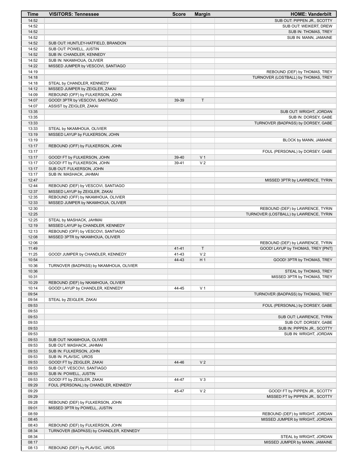| Time           | <b>VISITORS: Tennessee</b>                                         | <b>Score</b> | <b>Margin</b>  | <b>HOME: Vanderbilt</b>                |
|----------------|--------------------------------------------------------------------|--------------|----------------|----------------------------------------|
| 14:52          |                                                                    |              |                | SUB OUT: PIPPEN JR., SCOTTY            |
| 14:52          |                                                                    |              |                | SUB OUT: WEIKERT, DREW                 |
| 14:52          |                                                                    |              |                | SUB IN: THOMAS, TREY                   |
| 14:52          |                                                                    |              |                | SUB IN: MANN, JAMAINE                  |
| 14:52          | SUB OUT: HUNTLEY-HATFIELD, BRANDON                                 |              |                |                                        |
| 14:52          | SUB OUT: POWELL, JUSTIN                                            |              |                |                                        |
| 14:52          | SUB IN: CHANDLER, KENNEDY                                          |              |                |                                        |
| 14:52<br>14:22 | SUB IN: NKAMHOUA, OLIVIER<br>MISSED JUMPER by VESCOVI, SANTIAGO    |              |                |                                        |
| 14:19          |                                                                    |              |                | REBOUND (DEF) by THOMAS, TREY          |
| 14:18          |                                                                    |              |                | TURNOVER (LOSTBALL) by THOMAS, TREY    |
| 14:18          | STEAL by CHANDLER, KENNEDY                                         |              |                |                                        |
| 14:12          | MISSED JUMPER by ZEIGLER, ZAKAI                                    |              |                |                                        |
| 14:09          | REBOUND (OFF) by FULKERSON, JOHN                                   |              |                |                                        |
| 14:07          | GOOD! 3PTR by VESCOVI, SANTIAGO                                    | 39-39        | $\mathsf T$    |                                        |
| 14:07          | ASSIST by ZEIGLER, ZAKAI                                           |              |                |                                        |
| 13:35          |                                                                    |              |                | SUB OUT: WRIGHT, JORDAN                |
| 13:35          |                                                                    |              |                | SUB IN: DORSEY, GABE                   |
| 13:33          |                                                                    |              |                | TURNOVER (BADPASS) by DORSEY, GABE     |
| 13:33          | STEAL by NKAMHOUA, OLIVIER                                         |              |                |                                        |
| 13:19          | MISSED LAYUP by FULKERSON, JOHN                                    |              |                |                                        |
| 13:19          |                                                                    |              |                | BLOCK by MANN, JAMAINE                 |
| 13:17          | REBOUND (OFF) by FULKERSON, JOHN                                   |              |                |                                        |
| 13:17          |                                                                    |              |                | FOUL (PERSONAL) by DORSEY, GABE        |
| 13:17          | GOOD! FT by FULKERSON, JOHN                                        | 39-40        | V <sub>1</sub> |                                        |
| 13:17<br>13:17 | GOOD! FT by FULKERSON, JOHN<br>SUB OUT: FULKERSON, JOHN            | 39-41        | V <sub>2</sub> |                                        |
| 13:17          | SUB IN: MASHACK, JAHMAI                                            |              |                |                                        |
| 12:47          |                                                                    |              |                | MISSED 3PTR by LAWRENCE, TYRIN         |
| 12:44          | REBOUND (DEF) by VESCOVI, SANTIAGO                                 |              |                |                                        |
| 12:37          | MISSED LAYUP by ZEIGLER, ZAKAI                                     |              |                |                                        |
| 12:35          | REBOUND (OFF) by NKAMHOUA, OLIVIER                                 |              |                |                                        |
| 12:33          | MISSED JUMPER by NKAMHOUA, OLIVIER                                 |              |                |                                        |
| 12:30          |                                                                    |              |                | REBOUND (DEF) by LAWRENCE, TYRIN       |
| 12:25          |                                                                    |              |                | TURNOVER (LOSTBALL) by LAWRENCE, TYRIN |
| 12:25          | STEAL by MASHACK, JAHMAI                                           |              |                |                                        |
| 12:19          | MISSED LAYUP by CHANDLER, KENNEDY                                  |              |                |                                        |
| 12:13          | REBOUND (OFF) by VESCOVI, SANTIAGO                                 |              |                |                                        |
| 12:08          | MISSED 3PTR by NKAMHOUA, OLIVIER                                   |              |                |                                        |
| 12:06          |                                                                    |              |                | REBOUND (DEF) by LAWRENCE, TYRIN       |
| 11:49          |                                                                    | $41 - 41$    | T              | GOOD! LAYUP by THOMAS, TREY [PNT]      |
| 11:25          | GOOD! JUMPER by CHANDLER, KENNEDY                                  | 41-43        | V <sub>2</sub> |                                        |
| 10:54          |                                                                    | 44-43        | H <sub>1</sub> | GOOD! 3PTR by THOMAS, TREY             |
| 10:36<br>10:36 | TURNOVER (BADPASS) by NKAMHOUA, OLIVIER                            |              |                | STEAL by THOMAS, TREY                  |
| 10:31          |                                                                    |              |                | MISSED 3PTR by THOMAS, TREY            |
| 10:29          | REBOUND (DEF) by NKAMHOUA, OLIVIER                                 |              |                |                                        |
| 10:14          | GOOD! LAYUP by CHANDLER, KENNEDY                                   | 44-45        | V <sub>1</sub> |                                        |
| 09:54          |                                                                    |              |                | TURNOVER (BADPASS) by THOMAS, TREY     |
| 09:54          | STEAL by ZEIGLER, ZAKAI                                            |              |                |                                        |
| 09:53          |                                                                    |              |                | FOUL (PERSONAL) by DORSEY, GABE        |
| 09:53          |                                                                    |              |                |                                        |
| 09:53          |                                                                    |              |                | SUB OUT: LAWRENCE, TYRIN               |
| 09:53          |                                                                    |              |                | SUB OUT: DORSEY, GABE                  |
| 09:53          |                                                                    |              |                | SUB IN: PIPPEN JR., SCOTTY             |
| 09:53          |                                                                    |              |                | SUB IN: WRIGHT, JORDAN                 |
| 09:53          | SUB OUT: NKAMHOUA, OLIVIER                                         |              |                |                                        |
| 09:53          | SUB OUT: MASHACK, JAHMAI                                           |              |                |                                        |
| 09:53          | SUB IN: FULKERSON, JOHN                                            |              |                |                                        |
| 09:53          | SUB IN: PLAVSIC, UROS                                              |              |                |                                        |
| 09:53          | GOOD! FT by ZEIGLER, ZAKAI                                         | 44-46        | V <sub>2</sub> |                                        |
| 09:53          | SUB OUT: VESCOVI, SANTIAGO                                         |              |                |                                        |
| 09:53          | SUB IN: POWELL, JUSTIN                                             |              | $V_3$          |                                        |
| 09:53<br>09:29 | GOOD! FT by ZEIGLER, ZAKAI<br>FOUL (PERSONAL) by CHANDLER, KENNEDY | 44-47        |                |                                        |
| 09:29          |                                                                    | 45-47        | V <sub>2</sub> | GOOD! FT by PIPPEN JR., SCOTTY         |
| 09:29          |                                                                    |              |                | MISSED FT by PIPPEN JR., SCOTTY        |
| 09:28          | REBOUND (DEF) by FULKERSON, JOHN                                   |              |                |                                        |
| 09:01          | MISSED 3PTR by POWELL, JUSTIN                                      |              |                |                                        |
| 08:59          |                                                                    |              |                | REBOUND (DEF) by WRIGHT, JORDAN        |
| 08:45          |                                                                    |              |                | MISSED JUMPER by WRIGHT, JORDAN        |
| 08:43          | REBOUND (DEF) by FULKERSON, JOHN                                   |              |                |                                        |
| 08:34          | TURNOVER (BADPASS) by CHANDLER, KENNEDY                            |              |                |                                        |
| 08:34          |                                                                    |              |                | STEAL by WRIGHT, JORDAN                |
| 08:17          |                                                                    |              |                | MISSED JUMPER by MANN, JAMAINE         |
| 08:13          | REBOUND (DEF) by PLAVSIC, UROS                                     |              |                |                                        |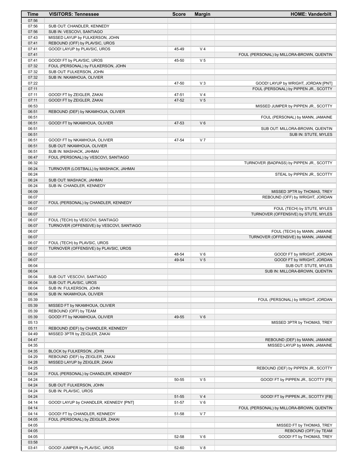| Time           | <b>VISITORS: Tennessee</b>                                     | <b>Score</b> | <b>Margin</b>  | <b>HOME: Vanderbilt</b>                                               |
|----------------|----------------------------------------------------------------|--------------|----------------|-----------------------------------------------------------------------|
| 07:56          |                                                                |              |                |                                                                       |
| 07:56          | SUB OUT: CHANDLER, KENNEDY                                     |              |                |                                                                       |
| 07:56          | SUB IN: VESCOVI, SANTIAGO                                      |              |                |                                                                       |
| 07:43          | MISSED LAYUP by FULKERSON, JOHN                                |              |                |                                                                       |
| 07:41<br>07:41 | REBOUND (OFF) by PLAVSIC, UROS<br>GOOD! LAYUP by PLAVSIC, UROS | 45-49        | V <sub>4</sub> |                                                                       |
| 07:41          |                                                                |              |                | FOUL (PERSONAL) by MILLORA-BROWN, QUENTIN                             |
| 07:41          | GOOD! FT by PLAVSIC, UROS                                      | 45-50        | V <sub>5</sub> |                                                                       |
| 07:32          | FOUL (PERSONAL) by FULKERSON, JOHN                             |              |                |                                                                       |
| 07:32          | SUB OUT: FULKERSON, JOHN                                       |              |                |                                                                       |
| 07:32          | SUB IN: NKAMHOUA, OLIVIER                                      |              |                |                                                                       |
| 07:22          |                                                                | 47-50        | $V_3$          | GOOD! LAYUP by WRIGHT, JORDAN [PNT]                                   |
| 07:11          |                                                                |              |                | FOUL (PERSONAL) by PIPPEN JR., SCOTTY                                 |
| 07:11          | GOOD! FT by ZEIGLER, ZAKAI                                     | 47-51        | V <sub>4</sub> |                                                                       |
| 07:11          | GOOD! FT by ZEIGLER, ZAKAI                                     | 47-52        | V <sub>5</sub> |                                                                       |
| 06:53<br>06:51 | REBOUND (DEF) by NKAMHOUA, OLIVIER                             |              |                | MISSED JUMPER by PIPPEN JR., SCOTTY                                   |
| 06:51          |                                                                |              |                | FOUL (PERSONAL) by MANN, JAMAINE                                      |
| 06:51          | GOOD! FT by NKAMHOUA, OLIVIER                                  | 47-53        | $V_6$          |                                                                       |
| 06:51          |                                                                |              |                | SUB OUT: MILLORA-BROWN, QUENTIN                                       |
| 06:51          |                                                                |              |                | SUB IN: STUTE, MYLES                                                  |
| 06:51          | GOOD! FT by NKAMHOUA, OLIVIER                                  | 47-54        | V <sub>7</sub> |                                                                       |
| 06:51          | SUB OUT: NKAMHOUA, OLIVIER                                     |              |                |                                                                       |
| 06:51          | SUB IN: MASHACK, JAHMAI                                        |              |                |                                                                       |
| 06:47          | FOUL (PERSONAL) by VESCOVI, SANTIAGO                           |              |                |                                                                       |
| 06:32          |                                                                |              |                | TURNOVER (BADPASS) by PIPPEN JR., SCOTTY                              |
| 06:24          | TURNOVER (LOSTBALL) by MASHACK, JAHMAI                         |              |                |                                                                       |
| 06:24<br>06:24 | SUB OUT: MASHACK, JAHMAI                                       |              |                | STEAL by PIPPEN JR., SCOTTY                                           |
| 06:24          | SUB IN: CHANDLER, KENNEDY                                      |              |                |                                                                       |
| 06:09          |                                                                |              |                | MISSED 3PTR by THOMAS, TREY                                           |
| 06:07          |                                                                |              |                | REBOUND (OFF) by WRIGHT, JORDAN                                       |
| 06:07          | FOUL (PERSONAL) by CHANDLER, KENNEDY                           |              |                |                                                                       |
| 06:07          |                                                                |              |                | FOUL (TECH) by STUTE, MYLES                                           |
| 06:07          |                                                                |              |                | TURNOVER (OFFENSIVE) by STUTE, MYLES                                  |
| 06:07          | FOUL (TECH) by VESCOVI, SANTIAGO                               |              |                |                                                                       |
| 06:07          | TURNOVER (OFFENSIVE) by VESCOVI, SANTIAGO                      |              |                |                                                                       |
| 06:07<br>06:07 |                                                                |              |                | FOUL (TECH) by MANN, JAMAINE<br>TURNOVER (OFFENSIVE) by MANN, JAMAINE |
| 06:07          | FOUL (TECH) by PLAVSIC, UROS                                   |              |                |                                                                       |
| 06:07          | TURNOVER (OFFENSIVE) by PLAVSIC, UROS                          |              |                |                                                                       |
| 06:07          |                                                                | 48-54        | $V_6$          | GOOD! FT by WRIGHT, JORDAN                                            |
| 06:07          |                                                                | 49-54        | V <sub>5</sub> | GOOD! FT by WRIGHT, JORDAN                                            |
| 06:04          |                                                                |              |                | SUB OUT: STUTE, MYLES                                                 |
| 06:04          |                                                                |              |                | SUB IN: MILLORA-BROWN, QUENTIN                                        |
| 06:04          | SUB OUT: VESCOVI, SANTIAGO                                     |              |                |                                                                       |
| 06:04          | SUB OUT: PLAVSIC, UROS                                         |              |                |                                                                       |
| 06:04<br>06:04 | SUB IN: FULKERSON, JOHN<br>SUB IN: NKAMHOUA, OLIVIER           |              |                |                                                                       |
| 05:39          |                                                                |              |                | FOUL (PERSONAL) by WRIGHT, JORDAN                                     |
| 05:39          | MISSED FT by NKAMHOUA, OLIVIER                                 |              |                |                                                                       |
| 05:39          | REBOUND (OFF) by TEAM                                          |              |                |                                                                       |
| 05:39          | GOOD! FT by NKAMHOUA, OLIVIER                                  | 49-55        | $V_6$          |                                                                       |
| 05:13          |                                                                |              |                | MISSED 3PTR by THOMAS, TREY                                           |
| 05:11          | REBOUND (DEF) by CHANDLER, KENNEDY                             |              |                |                                                                       |
| 04:49          | MISSED 3PTR by ZEIGLER, ZAKAI                                  |              |                |                                                                       |
| 04:47          |                                                                |              |                | REBOUND (DEF) by MANN, JAMAINE                                        |
| 04:35          |                                                                |              |                | MISSED LAYUP by MANN, JAMAINE                                         |
| 04:35<br>04:29 | BLOCK by FULKERSON, JOHN<br>REBOUND (DEF) by ZEIGLER, ZAKAI    |              |                |                                                                       |
| 04:28          | MISSED LAYUP by ZEIGLER, ZAKAI                                 |              |                |                                                                       |
| 04:25          |                                                                |              |                | REBOUND (DEF) by PIPPEN JR., SCOTTY                                   |
| 04:24          | FOUL (PERSONAL) by CHANDLER, KENNEDY                           |              |                |                                                                       |
| 04:24          |                                                                | 50-55        | V <sub>5</sub> | GOOD! FT by PIPPEN JR., SCOTTY [FB]                                   |
| 04:24          | SUB OUT: FULKERSON, JOHN                                       |              |                |                                                                       |
| 04:24          | SUB IN: PLAVSIC, UROS                                          |              |                |                                                                       |
| 04:24          |                                                                | 51-55        | V <sub>4</sub> | GOOD! FT by PIPPEN JR., SCOTTY [FB]                                   |
| 04:14          | GOOD! LAYUP by CHANDLER, KENNEDY [PNT]                         | 51-57        | V6             |                                                                       |
| 04:14<br>04:14 | GOOD! FT by CHANDLER, KENNEDY                                  | 51-58        | V <sub>7</sub> | FOUL (PERSONAL) by MILLORA-BROWN, QUENTIN                             |
| 04:05          | FOUL (PERSONAL) by ZEIGLER, ZAKAI                              |              |                |                                                                       |
| 04:05          |                                                                |              |                | MISSED FT by THOMAS, TREY                                             |
| 04:05          |                                                                |              |                | REBOUND (OFF) by TEAM                                                 |
| 04:05          |                                                                | 52-58        | V6             | GOOD! FT by THOMAS, TREY                                              |
| 03:58          |                                                                |              |                |                                                                       |
| 03:41          | GOOD! JUMPER by PLAVSIC, UROS                                  | 52-60        | V8             |                                                                       |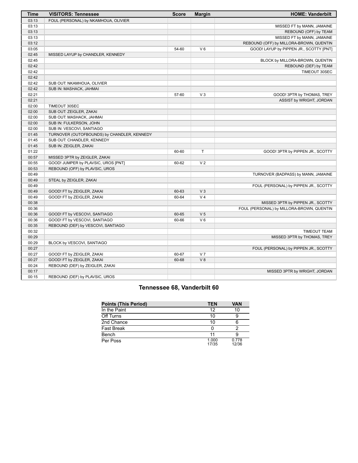| <b>Time</b> | <b>VISITORS: Tennessee</b>                  | <b>Score</b> | <b>Margin</b>  | <b>HOME: Vanderbilt</b>                   |
|-------------|---------------------------------------------|--------------|----------------|-------------------------------------------|
| 03:13       | FOUL (PERSONAL) by NKAMHOUA, OLIVIER        |              |                |                                           |
| 03:13       |                                             |              |                | MISSED FT by MANN, JAMAINE                |
| 03:13       |                                             |              |                | REBOUND (OFF) by TEAM                     |
| 03:13       |                                             |              |                | MISSED FT by MANN, JAMAINE                |
| 03:12       |                                             |              |                | REBOUND (OFF) by MILLORA-BROWN, QUENTIN   |
| 03:05       |                                             | 54-60        | $V_6$          | GOOD! LAYUP by PIPPEN JR., SCOTTY [PNT]   |
| 02:45       | MISSED LAYUP by CHANDLER, KENNEDY           |              |                |                                           |
| 02:45       |                                             |              |                | BLOCK by MILLORA-BROWN, QUENTIN           |
| 02:42       |                                             |              |                | REBOUND (DEF) by TEAM                     |
| 02:42       |                                             |              |                | TIMEOUT 30SEC                             |
| 02:42       |                                             |              |                |                                           |
| 02:42       | SUB OUT: NKAMHOUA, OLIVIER                  |              |                |                                           |
| 02:42       | SUB IN: MASHACK, JAHMAI                     |              |                |                                           |
| 02:21       |                                             | 57-60        | $V_3$          | GOOD! 3PTR by THOMAS, TREY                |
| 02:21       |                                             |              |                | ASSIST by WRIGHT, JORDAN                  |
| 02:00       | TIMEOUT 30SEC                               |              |                |                                           |
| 02:00       | SUB OUT: ZEIGLER, ZAKAI                     |              |                |                                           |
| 02:00       | SUB OUT: MASHACK, JAHMAI                    |              |                |                                           |
| 02:00       | SUB IN: FULKERSON, JOHN                     |              |                |                                           |
| 02:00       | SUB IN: VESCOVI, SANTIAGO                   |              |                |                                           |
| 01:45       | TURNOVER (OUTOFBOUNDS) by CHANDLER, KENNEDY |              |                |                                           |
| 01:45       | SUB OUT: CHANDLER, KENNEDY                  |              |                |                                           |
| 01:45       | SUB IN: ZEIGLER, ZAKAI                      |              |                |                                           |
| 01:22       |                                             | 60-60        | T.             | GOOD! 3PTR by PIPPEN JR., SCOTTY          |
| 00:57       | MISSED 3PTR by ZEIGLER, ZAKAI               |              |                |                                           |
| 00:55       | GOOD! JUMPER by PLAVSIC, UROS [PNT]         | 60-62        | V <sub>2</sub> |                                           |
| 00:53       | REBOUND (OFF) by PLAVSIC, UROS              |              |                |                                           |
| 00:49       |                                             |              |                | TURNOVER (BADPASS) by MANN, JAMAINE       |
| 00:49       | STEAL by ZEIGLER, ZAKAI                     |              |                |                                           |
| 00:49       |                                             |              |                | FOUL (PERSONAL) by PIPPEN JR., SCOTTY     |
| 00:49       | GOOD! FT by ZEIGLER, ZAKAI                  | 60-63        | $V_3$          |                                           |
| 00:49       | GOOD! FT by ZEIGLER, ZAKAI                  | 60-64        | V <sub>4</sub> |                                           |
| 00:38       |                                             |              |                | MISSED 3PTR by PIPPEN JR., SCOTTY         |
| 00:36       |                                             |              |                | FOUL (PERSONAL) by MILLORA-BROWN, QUENTIN |
| 00:36       | GOOD! FT by VESCOVI, SANTIAGO               | 60-65        | V <sub>5</sub> |                                           |
| 00:36       | GOOD! FT by VESCOVI, SANTIAGO               | 60-66        | $V_6$          |                                           |
| 00:35       | REBOUND (DEF) by VESCOVI, SANTIAGO          |              |                |                                           |
| 00:32       |                                             |              |                | <b>TIMEOUT TEAM</b>                       |
| 00:29       |                                             |              |                | MISSED 3PTR by THOMAS, TREY               |
| 00:29       | BLOCK by VESCOVI, SANTIAGO                  |              |                |                                           |
| 00:27       |                                             |              |                | FOUL (PERSONAL) by PIPPEN JR., SCOTTY     |
| 00:27       | GOOD! FT by ZEIGLER, ZAKAI                  | 60-67        | V <sub>7</sub> |                                           |
| 00:27       | GOOD! FT by ZEIGLER, ZAKAI                  | 60-68        | V <sub>8</sub> |                                           |
| 00:24       | REBOUND (DEF) by ZEIGLER, ZAKAI             |              |                |                                           |
| 00:17       |                                             |              |                | MISSED 3PTR by WRIGHT, JORDAN             |
| 00:15       | REBOUND (DEF) by PLAVSIC, UROS              |              |                |                                           |
|             |                                             |              |                |                                           |

### **Tennessee 68, Vanderbilt 60**

| <b>Points (This Period)</b> | <b>TEN</b>     | <b>VAN</b>     |
|-----------------------------|----------------|----------------|
| In the Paint                | 12             | 10             |
| Off Turns                   | 10             |                |
| 2nd Chance                  | 10             |                |
| <b>Fast Break</b>           |                |                |
| Bench                       |                |                |
| Per Poss                    | 1.000<br>17/35 | 0.778<br>12/36 |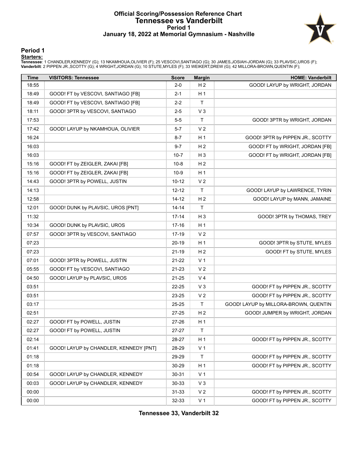#### **Official Scoring/Possession Reference Chart Tennessee vs Vanderbilt Period 1 January 18, 2022 at Memorial Gymnasium - Nashville**



**Period 1**

<mark>Starters:</mark><br>Tennessee: 1 CHANDLER,KENNEDY (G); 13 NKAMHOUA,OLIVIER (F); 25 VESCOVI,SANTIAGO (G); 30 JAMES,JOSIAH-JORDAN (G); 33 PLAVSIC,UROS (F);<br>**Vanderbilt**: 2 PIPPEN JR.,SCOTTY (G); 4 WRIGHT,JORDAN (G); 10 STUTE,MYLES (

| <b>Time</b> | <b>VISITORS: Tennessee</b>             | <b>Score</b> | <b>Margin</b>  | <b>HOME: Vanderbilt</b>               |
|-------------|----------------------------------------|--------------|----------------|---------------------------------------|
| 18:55       |                                        | $2 - 0$      | H <sub>2</sub> | GOOD! LAYUP by WRIGHT, JORDAN         |
| 18:49       | GOOD! FT by VESCOVI, SANTIAGO [FB]     | $2 - 1$      | H <sub>1</sub> |                                       |
| 18:49       | GOOD! FT by VESCOVI, SANTIAGO [FB]     | $2 - 2$      | $\mathsf{T}$   |                                       |
| 18:11       | GOOD! 3PTR by VESCOVI, SANTIAGO        | $2 - 5$      | $V_3$          |                                       |
| 17:53       |                                        | $5-5$        | $\mathsf{T}$   | GOOD! 3PTR by WRIGHT, JORDAN          |
| 17:42       | GOOD! LAYUP by NKAMHOUA, OLIVIER       | $5 - 7$      | V <sub>2</sub> |                                       |
| 16:24       |                                        | $8 - 7$      | H <sub>1</sub> | GOOD! 3PTR by PIPPEN JR., SCOTTY      |
| 16:03       |                                        | $9 - 7$      | H <sub>2</sub> | GOOD! FT by WRIGHT, JORDAN [FB]       |
| 16:03       |                                        | $10 - 7$     | $H_3$          | GOOD! FT by WRIGHT, JORDAN [FB]       |
| 15:16       | GOOD! FT by ZEIGLER, ZAKAI [FB]        | $10 - 8$     | H <sub>2</sub> |                                       |
| 15:16       | GOOD! FT by ZEIGLER, ZAKAI [FB]        | $10-9$       | H <sub>1</sub> |                                       |
| 14:43       | GOOD! 3PTR by POWELL, JUSTIN           | $10 - 12$    | V <sub>2</sub> |                                       |
| 14:13       |                                        | $12 - 12$    | $\mathsf{T}$   | GOOD! LAYUP by LAWRENCE, TYRIN        |
| 12:58       |                                        | 14-12        | H <sub>2</sub> | GOOD! LAYUP by MANN, JAMAINE          |
| 12:01       | GOOD! DUNK by PLAVSIC, UROS [PNT]      | $14 - 14$    | $\mathsf{T}$   |                                       |
| 11:32       |                                        | $17 - 14$    | $H_3$          | GOOD! 3PTR by THOMAS, TREY            |
| 10:34       | GOOD! DUNK by PLAVSIC, UROS            | $17 - 16$    | H <sub>1</sub> |                                       |
| 07:57       | GOOD! 3PTR by VESCOVI, SANTIAGO        | 17-19        | V <sub>2</sub> |                                       |
| 07:23       |                                        | 20-19        | H <sub>1</sub> | GOOD! 3PTR by STUTE, MYLES            |
| 07:23       |                                        | $21 - 19$    | H <sub>2</sub> | GOOD! FT by STUTE, MYLES              |
| 07:01       | GOOD! 3PTR by POWELL, JUSTIN           | 21-22        | V <sub>1</sub> |                                       |
| 05:55       | GOOD! FT by VESCOVI, SANTIAGO          | 21-23        | V <sub>2</sub> |                                       |
| 04:50       | GOOD! LAYUP by PLAVSIC, UROS           | 21-25        | V <sub>4</sub> |                                       |
| 03:51       |                                        | 22-25        | $V_3$          | GOOD! FT by PIPPEN JR., SCOTTY        |
| 03:51       |                                        | 23-25        | V <sub>2</sub> | GOOD! FT by PIPPEN JR., SCOTTY        |
| 03:17       |                                        | 25-25        | $\mathsf{T}$   | GOOD! LAYUP by MILLORA-BROWN, QUENTIN |
| 02:51       |                                        | 27-25        | H <sub>2</sub> | GOOD! JUMPER by WRIGHT, JORDAN        |
| 02:27       | GOOD! FT by POWELL, JUSTIN             | 27-26        | H <sub>1</sub> |                                       |
| 02:27       | GOOD! FT by POWELL, JUSTIN             | $27 - 27$    | $\mathsf{T}$   |                                       |
| 02:14       |                                        | 28-27        | H <sub>1</sub> | GOOD! FT by PIPPEN JR., SCOTTY        |
| 01:41       | GOOD! LAYUP by CHANDLER, KENNEDY [PNT] | 28-29        | V <sub>1</sub> |                                       |
| 01:18       |                                        | 29-29        | $\mathsf{T}$   | GOOD! FT by PIPPEN JR., SCOTTY        |
| 01:18       |                                        | 30-29        | H <sub>1</sub> | GOOD! FT by PIPPEN JR., SCOTTY        |
| 00:54       | GOOD! LAYUP by CHANDLER, KENNEDY       | $30 - 31$    | V <sub>1</sub> |                                       |
| 00:03       | GOOD! LAYUP by CHANDLER, KENNEDY       | 30-33        | V <sub>3</sub> |                                       |
| 00:00       |                                        | 31-33        | V <sub>2</sub> | GOOD! FT by PIPPEN JR., SCOTTY        |
| 00:00       |                                        | 32-33        | V <sub>1</sub> | GOOD! FT by PIPPEN JR., SCOTTY        |

**Tennessee 33, Vanderbilt 32**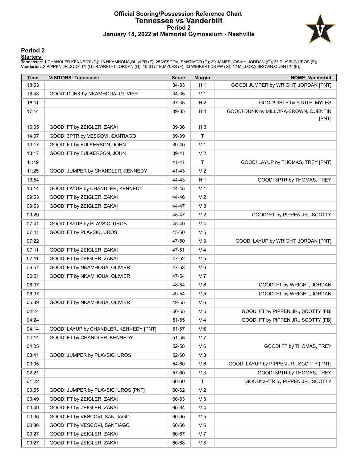#### **Official Scoring/Possession Reference Chart Tennessee vs Vanderbilt Period 2 January 18, 2022 at Memorial Gymnasium - Nashville**



#### **Period 2**

<mark>Starters:</mark><br>Tennessee: 1 CHANDLER,KENNEDY (G); 13 NKAMHOUA,OLIVIER (F); 25 VESCOVI,SANTIAGO (G); 30 JAMES,JOSIAH-JORDAN (G); 33 PLAVSIC,UROS (F);<br>**Vanderbilt**: 2 PIPPEN JR.,SCOTTY (G); 4 WRIGHT,JORDAN (G); 10 STUTE,MYLES (

| <b>Time</b> | <b>VISITORS: Tennessee</b>             | <b>Score</b> | <b>Margin</b>  | <b>HOME: Vanderbilt</b>                       |
|-------------|----------------------------------------|--------------|----------------|-----------------------------------------------|
| 18:53       |                                        | 34-33        | H <sub>1</sub> | GOOD! JUMPER by WRIGHT, JORDAN [PNT]          |
| 18:43       | GOOD! DUNK by NKAMHOUA, OLIVIER        | 34-35        | V <sub>1</sub> |                                               |
| 18:11       |                                        | 37-35        | H <sub>2</sub> | GOOD! 3PTR by STUTE, MYLES                    |
| 17:14       |                                        | 39-35        | H4             | GOOD! DUNK by MILLORA-BROWN, QUENTIN<br>[PNT] |
| 16:05       | GOOD! FT by ZEIGLER, ZAKAI             | 39-36        | $H_3$          |                                               |
| 14:07       | GOOD! 3PTR by VESCOVI, SANTIAGO        | 39-39        | T              |                                               |
| 13:17       | GOOD! FT by FULKERSON, JOHN            | 39-40        | V <sub>1</sub> |                                               |
| 13:17       | GOOD! FT by FULKERSON, JOHN            | 39-41        | V <sub>2</sub> |                                               |
| 11:49       |                                        | $41 - 41$    | T.             | GOOD! LAYUP by THOMAS, TREY [PNT]             |
| 11:25       | GOOD! JUMPER by CHANDLER, KENNEDY      | 41-43        | V <sub>2</sub> |                                               |
| 10:54       |                                        | 44-43        | H <sub>1</sub> | GOOD! 3PTR by THOMAS, TREY                    |
| 10:14       | GOOD! LAYUP by CHANDLER, KENNEDY       | 44-45        | V <sub>1</sub> |                                               |
| 09:53       | GOOD! FT by ZEIGLER, ZAKAI             | 44-46        | V <sub>2</sub> |                                               |
| 09:53       | GOOD! FT by ZEIGLER, ZAKAI             | 44-47        | $V_3$          |                                               |
| 09:29       |                                        | 45-47        | V <sub>2</sub> | GOOD! FT by PIPPEN JR., SCOTTY                |
| 07:41       | GOOD! LAYUP by PLAVSIC, UROS           | 45-49        | V <sub>4</sub> |                                               |
| 07:41       | GOOD! FT by PLAVSIC, UROS              | 45-50        | V <sub>5</sub> |                                               |
| 07:22       |                                        | 47-50        | V <sub>3</sub> | GOOD! LAYUP by WRIGHT, JORDAN [PNT]           |
| 07:11       | GOOD! FT by ZEIGLER, ZAKAI             | 47-51        | V <sub>4</sub> |                                               |
| 07:11       | GOOD! FT by ZEIGLER, ZAKAI             | 47-52        | V <sub>5</sub> |                                               |
| 06:51       | GOOD! FT by NKAMHOUA, OLIVIER          | 47-53        | $V_6$          |                                               |
| 06:51       | GOOD! FT by NKAMHOUA, OLIVIER          | 47-54        | V <sub>7</sub> |                                               |
| 06:07       |                                        | 48-54        | $V_6$          | GOOD! FT by WRIGHT, JORDAN                    |
| 06:07       |                                        | 49-54        | V <sub>5</sub> | GOOD! FT by WRIGHT, JORDAN                    |
| 05:39       | GOOD! FT by NKAMHOUA, OLIVIER          | 49-55        | $V_6$          |                                               |
| 04:24       |                                        | 50-55        | V <sub>5</sub> | GOOD! FT by PIPPEN JR., SCOTTY [FB]           |
| 04:24       |                                        | 51-55        | V <sub>4</sub> | GOOD! FT by PIPPEN JR., SCOTTY [FB]           |
| 04:14       | GOOD! LAYUP by CHANDLER, KENNEDY [PNT] | 51-57        | V6             |                                               |
| 04:14       | GOOD! FT by CHANDLER, KENNEDY          | 51-58        | V <sub>7</sub> |                                               |
| 04:05       |                                        | 52-58        | V6             | GOOD! FT by THOMAS, TREY                      |
| 03:41       | GOOD! JUMPER by PLAVSIC, UROS          | 52-60        | V 8            |                                               |
| 03:05       |                                        | 54-60        | $V_6$          | GOOD! LAYUP by PIPPEN JR., SCOTTY [PNT]       |
| 02:21       |                                        | 57-60        | $V_3$          | GOOD! 3PTR by THOMAS, TREY                    |
| 01:22       |                                        | 60-60        | T.             | GOOD! 3PTR by PIPPEN JR., SCOTTY              |
| 00:55       | GOOD! JUMPER by PLAVSIC, UROS [PNT]    | 60-62        | V <sub>2</sub> |                                               |
| 00:49       | GOOD! FT by ZEIGLER, ZAKAI             | 60-63        | $V_3$          |                                               |
| 00:49       | GOOD! FT by ZEIGLER, ZAKAI             | 60-64        | V <sub>4</sub> |                                               |
| 00:36       | GOOD! FT by VESCOVI, SANTIAGO          | 60-65        | V <sub>5</sub> |                                               |
| 00:36       | GOOD! FT by VESCOVI, SANTIAGO          | 60-66        | $V_6$          |                                               |
| 00:27       | GOOD! FT by ZEIGLER, ZAKAI             | 60-67        | V <sub>7</sub> |                                               |
| 00:27       | GOOD! FT by ZEIGLER, ZAKAI             | 60-68        | V8             |                                               |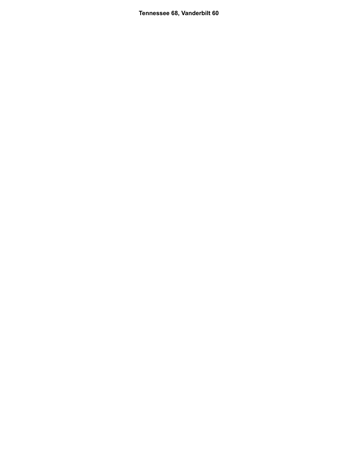**Tennessee 68, Vanderbilt 60**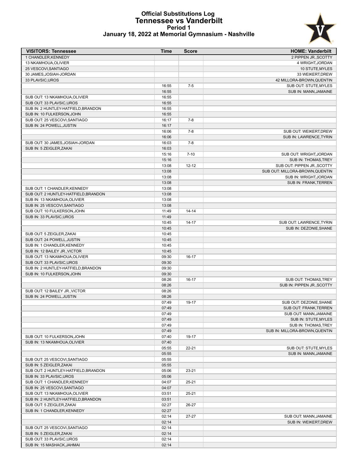#### **Official Substitutions Log Tennessee vs Vanderbilt Period 1 January 18, 2022 at Memorial Gymnasium - Nashville**



| <b>VISITORS: Tennessee</b>           | Time           | <b>Score</b> | <b>HOME: Vanderbilt</b>                      |
|--------------------------------------|----------------|--------------|----------------------------------------------|
| 1 CHANDLER, KENNEDY                  |                |              | 2 PIPPEN JR., SCOTTY                         |
| 13 NKAMHOUA, OLIVIER                 |                |              | 4 WRIGHT, JORDAN                             |
| 25 VESCOVI, SANTIAGO                 |                |              | 10 STUTE, MYLES                              |
| 30 JAMES, JOSIAH-JORDAN              |                |              | 33 WEIKERT, DREW                             |
| 33 PLAVSIC, UROS                     |                |              | 42 MILLORA-BROWN, QUENTIN                    |
|                                      | 16:55          | $7-5$        | SUB OUT: STUTE, MYLES                        |
|                                      | 16:55          |              | SUB IN: MANN, JAMAINE                        |
| SUB OUT: 13 NKAMHOUA, OLIVIER        | 16:55          |              |                                              |
| SUB OUT: 33 PLAVSIC, UROS            | 16:55          |              |                                              |
| SUB IN: 2 HUNTLEY-HATFIELD, BRANDON  | 16:55          |              |                                              |
| SUB IN: 10 FULKERSON, JOHN           | 16:55          |              |                                              |
| SUB OUT: 25 VESCOVI, SANTIAGO        | 16:17<br>16:17 | $7-8$        |                                              |
| SUB IN: 24 POWELL, JUSTIN            | 16:06          | $7-8$        | SUB OUT: WEIKERT, DREW                       |
|                                      | 16:06          |              | SUB IN: LAWRENCE, TYRIN                      |
| SUB OUT: 30 JAMES, JOSIAH-JORDAN     | 16:03          | $7-8$        |                                              |
| SUB IN: 5 ZEIGLER, ZAKAI             | 16:03          |              |                                              |
|                                      | 15:16          | $7 - 10$     | SUB OUT: WRIGHT, JORDAN                      |
|                                      | 15:16          |              | SUB IN: THOMAS, TREY                         |
|                                      | 13:08          | $12 - 12$    | SUB OUT: PIPPEN JR., SCOTTY                  |
|                                      | 13:08          |              | SUB OUT: MILLORA-BROWN, QUENTIN              |
|                                      | 13:08          |              | SUB IN: WRIGHT, JORDAN                       |
|                                      | 13:08          |              | SUB IN: FRANK, TERREN                        |
| SUB OUT: 1 CHANDLER, KENNEDY         | 13:08          |              |                                              |
| SUB OUT: 2 HUNTLEY-HATFIELD, BRANDON | 13:08          |              |                                              |
| SUB IN: 13 NKAMHOUA.OLIVIER          | 13:08          |              |                                              |
| SUB IN: 25 VESCOVI, SANTIAGO         | 13:08          |              |                                              |
| SUB OUT: 10 FULKERSON, JOHN          | 11:49          | $14 - 14$    |                                              |
| SUB IN: 33 PLAVSIC, UROS             | 11:49          |              |                                              |
|                                      | 10:45          | $14 - 17$    | SUB OUT: LAWRENCE, TYRIN                     |
|                                      | 10:45          |              | SUB IN: DEZONIE, SHANE                       |
| SUB OUT: 5 ZEIGLER, ZAKAI            | 10:45          |              |                                              |
| SUB OUT: 24 POWELL, JUSTIN           | 10:45          |              |                                              |
| SUB IN: 1 CHANDLER, KENNEDY          | 10:45          |              |                                              |
| SUB IN: 12 BAILEY JR., VICTOR        | 10:45          |              |                                              |
| SUB OUT: 13 NKAMHOUA, OLIVIER        | 09:30          | $16-17$      |                                              |
| SUB OUT: 33 PLAVSIC, UROS            | 09:30          |              |                                              |
| SUB IN: 2 HUNTLEY-HATFIELD, BRANDON  | 09:30          |              |                                              |
| SUB IN: 10 FULKERSON, JOHN           | 09:30          |              |                                              |
|                                      | 08:26          | $16-17$      | SUB OUT: THOMAS.TREY                         |
|                                      | 08:26          |              | SUB IN: PIPPEN JR., SCOTTY                   |
| SUB OUT: 12 BAILEY JR., VICTOR       | 08:26          |              |                                              |
| SUB IN: 24 POWELL, JUSTIN            | 08:26          |              |                                              |
|                                      | 07:49          | 19-17        | SUB OUT: DEZONIE.SHANE                       |
|                                      | 07:49          |              | <b>SUB OUT: FRANK, TERREN</b>                |
|                                      | 07:49<br>07:49 |              | SUB OUT: MANN, JAMAINE                       |
|                                      | 07:49          |              | SUB IN: STUTE, MYLES<br>SUB IN: THOMAS, TREY |
|                                      | 07:49          |              | SUB IN: MILLORA-BROWN, QUENTIN               |
| SUB OUT: 10 FULKERSON, JOHN          | 07:40          | 19-17        |                                              |
| SUB IN: 13 NKAMHOUA, OLIVIER         | 07:40          |              |                                              |
|                                      | 05:55          | $22 - 21$    | SUB OUT: STUTE, MYLES                        |
|                                      | 05:55          |              | SUB IN: MANN, JAMAINE                        |
| SUB OUT: 25 VESCOVI, SANTIAGO        | 05:55          |              |                                              |
| SUB IN: 5 ZEIGLER, ZAKAI             | 05:55          |              |                                              |
| SUB OUT: 2 HUNTLEY-HATFIELD, BRANDON | 05:06          | 23-21        |                                              |
| SUB IN: 33 PLAVSIC, UROS             | 05:06          |              |                                              |
| SUB OUT: 1 CHANDLER, KENNEDY         | 04:07          | $25 - 21$    |                                              |
| SUB IN: 25 VESCOVI, SANTIAGO         | 04:07          |              |                                              |
| SUB OUT: 13 NKAMHOUA, OLIVIER        | 03:51          | $25 - 21$    |                                              |
| SUB IN: 2 HUNTLEY-HATFIELD, BRANDON  | 03:51          |              |                                              |
| SUB OUT: 5 ZEIGLER, ZAKAI            | 02:27          | 26-27        |                                              |
| SUB IN: 1 CHANDLER, KENNEDY          | 02:27          |              |                                              |
|                                      | 02:14          | $27 - 27$    | SUB OUT: MANN, JAMAINE                       |
|                                      | 02:14          |              | SUB IN: WEIKERT, DREW                        |
| SUB OUT: 25 VESCOVI, SANTIAGO        | 02:14          |              |                                              |
| SUB IN: 5 ZEIGLER, ZAKAI             | 02:14          |              |                                              |
| SUB OUT: 33 PLAVSIC, UROS            | 02:14          |              |                                              |
| SUB IN: 15 MASHACK, JAHMAI           | 02:14          |              |                                              |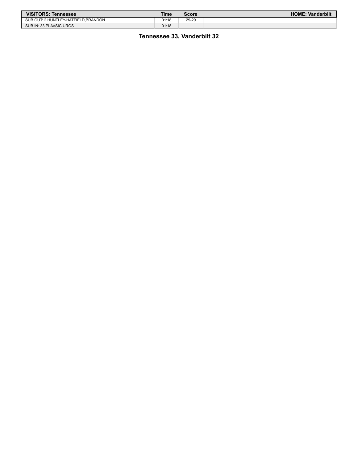| <b>VISITORS: Tennessee</b>          | Time  | <b>Score</b> | <b>HOME: Vanderbilt</b> |
|-------------------------------------|-------|--------------|-------------------------|
| SUB OUT: 2 HUNTLEY-HATFIELD.BRANDON | 01:18 | 29-29        |                         |
| SUB IN: 33 PLAVSIC, UROS            | 01:18 |              |                         |

#### **Tennessee 33, Vanderbilt 32**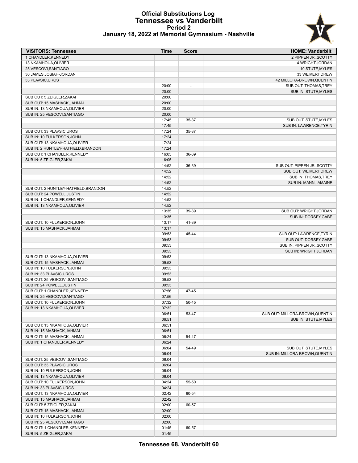### **Official Substitutions Log Tennessee vs Vanderbilt Period 2**



|  |  |  | January 18, 2022 at Memorial Gymnasium - Nashville |  |
|--|--|--|----------------------------------------------------|--|
|--|--|--|----------------------------------------------------|--|

| <b>VISITORS: Tennessee</b>                                   | <b>Time</b>    | <b>Score</b>   | <b>HOME: Vanderbilt</b>         |
|--------------------------------------------------------------|----------------|----------------|---------------------------------|
| 1 CHANDLER.KENNEDY                                           |                |                | 2 PIPPEN JR., SCOTTY            |
| 13 NKAMHOUA, OLIVIER                                         |                |                | 4 WRIGHT, JORDAN                |
| 25 VESCOVI, SANTIAGO                                         |                |                | 10 STUTE, MYLES                 |
| 30 JAMES, JOSIAH-JORDAN                                      |                |                | 33 WEIKERT, DREW                |
| 33 PLAVSIC, UROS                                             |                |                | 42 MILLORA-BROWN, QUENTIN       |
|                                                              | 20:00          | $\overline{a}$ | SUB OUT: THOMAS, TREY           |
|                                                              | 20:00          |                | SUB IN: STUTE, MYLES            |
| SUB OUT: 5 ZEIGLER, ZAKAI                                    | 20:00          |                |                                 |
| SUB OUT: 15 MASHACK, JAHMAI<br>SUB IN: 13 NKAMHOUA, OLIVIER  | 20:00<br>20:00 |                |                                 |
| SUB IN: 25 VESCOVI.SANTIAGO                                  | 20:00          |                |                                 |
|                                                              | 17:45          | 35-37          | SUB OUT: STUTE, MYLES           |
|                                                              | 17:45          |                | SUB IN: LAWRENCE, TYRIN         |
| SUB OUT: 33 PLAVSIC, UROS                                    | 17:24          | 35-37          |                                 |
| SUB IN: 10 FULKERSON, JOHN                                   | 17:24          |                |                                 |
| SUB OUT: 13 NKAMHOUA, OLIVIER                                | 17:24          |                |                                 |
| SUB IN: 2 HUNTLEY-HATFIELD, BRANDON                          | 17:24          |                |                                 |
| SUB OUT: 1 CHANDLER, KENNEDY                                 | 16:05          | 36-39          |                                 |
| SUB IN: 5 ZEIGLER, ZAKAI                                     | 16:05          |                |                                 |
|                                                              | 14:52          | 36-39          | SUB OUT: PIPPEN JR., SCOTTY     |
|                                                              | 14:52          |                | SUB OUT: WEIKERT.DREW           |
|                                                              | 14:52          |                | SUB IN: THOMAS, TREY            |
|                                                              | 14:52          |                | SUB IN: MANN, JAMAINE           |
| SUB OUT: 2 HUNTLEY-HATFIELD, BRANDON                         | 14:52          |                |                                 |
| SUB OUT: 24 POWELL, JUSTIN                                   | 14:52          |                |                                 |
| SUB IN: 1 CHANDLER, KENNEDY                                  | 14:52          |                |                                 |
| SUB IN: 13 NKAMHOUA, OLIVIER                                 | 14:52<br>13:35 | 39-39          | SUB OUT: WRIGHT, JORDAN         |
|                                                              | 13:35          |                | SUB IN: DORSEY, GABE            |
| SUB OUT: 10 FULKERSON, JOHN                                  | 13:17          | 41-39          |                                 |
| SUB IN: 15 MASHACK, JAHMAI                                   | 13:17          |                |                                 |
|                                                              | 09:53          | 45-44          | SUB OUT: LAWRENCE, TYRIN        |
|                                                              | 09:53          |                | SUB OUT: DORSEY, GABE           |
|                                                              | 09:53          |                | SUB IN: PIPPEN JR., SCOTTY      |
|                                                              | 09:53          |                | SUB IN: WRIGHT, JORDAN          |
| SUB OUT: 13 NKAMHOUA, OLIVIER                                | 09:53          |                |                                 |
| SUB OUT: 15 MASHACK, JAHMAI                                  | 09:53          |                |                                 |
| SUB IN: 10 FULKERSON, JOHN                                   | 09:53          |                |                                 |
| SUB IN: 33 PLAVSIC, UROS                                     | 09:53          |                |                                 |
| SUB OUT: 25 VESCOVI, SANTIAGO                                | 09:53          |                |                                 |
| SUB IN: 24 POWELL, JUSTIN                                    | 09:53          |                |                                 |
| SUB OUT: 1 CHANDLER, KENNEDY<br>SUB IN: 25 VESCOVI, SANTIAGO | 07:56<br>07:56 | 47-45          |                                 |
| SUB OUT: 10 FULKERSON, JOHN                                  | 07:32          | 50-45          |                                 |
| SUB IN: 13 NKAMHOUA, OLIVIER                                 | 07:32          |                |                                 |
|                                                              | 06:51          | 53-47          | SUB OUT: MILLORA-BROWN, QUENTIN |
|                                                              | 06:51          |                | <b>SUB IN: STUTE, MYLES</b>     |
| SUB OUT: 13 NKAMHOUA, OLIVIER                                | 06:51          |                |                                 |
| SUB IN: 15 MASHACK, JAHMAI                                   | 06:51          |                |                                 |
| SUB OUT: 15 MASHACK, JAHMAI                                  | 06:24          | 54-47          |                                 |
| SUB IN: 1 CHANDLER, KENNEDY                                  | 06:24          |                |                                 |
|                                                              | 06:04          | 54-49          | SUB OUT: STUTE, MYLES           |
|                                                              | 06:04          |                | SUB IN: MILLORA-BROWN, QUENTIN  |
| SUB OUT: 25 VESCOVI, SANTIAGO                                | 06:04          |                |                                 |
| SUB OUT: 33 PLAVSIC, UROS                                    | 06:04          |                |                                 |
| SUB IN: 10 FULKERSON, JOHN                                   | 06:04          |                |                                 |
| SUB IN: 13 NKAMHOUA, OLIVIER                                 | 06:04          |                |                                 |
| SUB OUT: 10 FULKERSON, JOHN<br>SUB IN: 33 PLAVSIC, UROS      | 04:24<br>04:24 | 55-50          |                                 |
|                                                              | 02:42          | 60-54          |                                 |
| SUB OUT: 13 NKAMHOUA, OLIVIER<br>SUB IN: 15 MASHACK, JAHMAI  | 02:42          |                |                                 |
| SUB OUT: 5 ZEIGLER, ZAKAI                                    | 02:00          | 60-57          |                                 |
| SUB OUT: 15 MASHACK, JAHMAI                                  | 02:00          |                |                                 |
| SUB IN: 10 FULKERSON, JOHN                                   | 02:00          |                |                                 |
| SUB IN: 25 VESCOVI, SANTIAGO                                 | 02:00          |                |                                 |
| SUB OUT: 1 CHANDLER, KENNEDY                                 | 01:45          | 60-57          |                                 |
| SUB IN: 5 ZEIGLER, ZAKAI                                     | 01:45          |                |                                 |